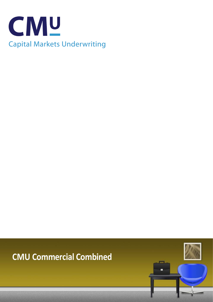

# **CMU Commercial Combined**

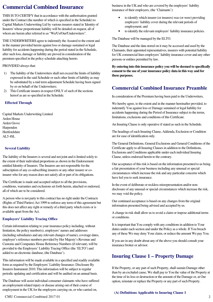### **Commercial Combined Insurance**

THIS IS TO CERTIFY that in accordance with the authorisation granted under the Contract (the number of which is specified in the Schedule) to Capital Markets Underwriting Ltd by various insurers stated in 'Identity of Insurers' whose proportionate liability will be detailed on request, all of whom are herein after referred to as "We/Us/Our/Underwriters".

THE UNDERWRITERS agree to indemnify the Assured to the extent and in the manner provided herein against loss or damage sustained or legal liability for accidents happening during the period stated in the Schedule, after such loss, damage or liability are proved in consideration of the premium specified in the policy schedule attaching hereto.

#### PROVIDED always that:

- 1) The liability of the Underwriters shall not exceed the limits of liability expressed in the said Schedule or such other limits of liability as may be substituted by a mid term adjustment Schedule having been signed by or on behalf of the Underwriters;
- 2) This Certificate insures in respect ONLY of such of the sections hereof as are so specified in the Schedule.

#### **Effected Through**

Capital Markets Underwriting Limited Arden House Arden Grove Harpenden **Hertfordshire** AL5 4SL

#### **Several Liability**

The liability of the Insurers is several and not joint and is limited solely to the extent of their individual proportions as shown in the Endorsement entitled Identity of Insurers. The Insurers are not responsible for the subscription of any co-subscribing insurers or any other insurer or coinsurer who for any reason does not satisfy all or part of its obligations.

The Certificate is made and accepted subject to all the provisions, conditions, warranties and exclusions set forth herein, attached or endorsed, all of which are to be considered.

A person who is not party to this contract has no right under the Contracts (Rights of Third Parties) Act 1999 to enforce any term of this agreement but this does not affect any right or remedy of a third party which exists or is available apart from the Act.

#### **Employers' Liability Tracing Office**

Certain information relating to your insurance policy including, without limitation, the policy number(s), employers' names and addresses (including subsidiaries and any relevant changes of name), coverage dates, employer's reference numbers provided by Her Majesty's Revenue and Customs and Companies House Reference Numbers (if relevant), will be provided to the Employers' Liability Tracing Office (the 'ELTO') and added to an electronic database, (the Database').

This information will be made available in a specified and readily available form as required by the Employers' Liability Insurance: Disclosure By Insurers Instrument 2010. This information will be subject to regular periodic updating and certification and will be audited on an annual basis.

The Database will assist individual consumer claimants who have suffered an employment related injury or disease arising out of their course of employment in the UK for the employers carrying on, or who carried on,

business in the UK and who are covered by the employers' liability insurance of their employers, (the 'Claimants'):

- to identify which insurer (or insurers) was (or were) providing employers' liability cover during the relevant periods of employment; and
- to identify the relevant employers' liability insurance policies.

The Database will be managed by the ELTO.

The Database and the data stored on it may be accessed and used by the Claimants, their appointed representatives, insurers with potential liability for UK commercial lines employers' liability insurance cover and any other persons or entities permitted by law.

**By entering into this insurance policy you will be deemed to specifically consent to the use of your insurance policy data in this way and for these purposes.** 

## **Commercial Combined Insurance Preamble**

In consideration of the Premium having been paid to the Underwriters,

We hereby agree, to the extent and in the manner hereinafter provided, to indemnify You against loss or Damage sustained or legal liability for accidents happening during the Period of Insurance subject to the terms, limitations, exclusions and conditions of this Certificate.

An Insuring Clause is only operative if stated as such in the Schedule.

The headings of each Insuring Clause, Addenda, Exclusion or Condition are for ease of identification only.

The General Definitions, General Exclusions and General Conditions of the Certificate apply to all Insuring Clauses in addition to the Definitions, Exclusions and Conditions applicable under each individual Insuring Clause, unless endorsed herein to the contrary.

Our acceptance of this risk is based on the information presented to us being a fair presentation of your business including any unusual or special circumstances which increase the risk and any particular concerns which have led you to seek insurance.

In the event of deliberate or reckless misrepresentation and/or nondisclosure of any unusual or special circumstances which increase the risk, we may void the policy.

Our continued acceptance is based on any changes from the original information presented being advised and accepted by us.

A change in risk shall allow us to avoid a claim or impose additional terms or conditions.

It is important that You comply with any conditions in addition to Your duties under each section and under the Policy as a whole. If You breach any of these We may deny Your claim, or reduce the amount We pay You.

If you are in any doubt about any of the above you should consult your insurance broker or advisor.

### **Insuring Clause 1 – Property Damage**

If the Property, or any part of such Property, shall sustain Damage other than by an excluded cause, We shall pay to You the value of the Property at the time of its loss or destruction or the amount of the Damage or, at Our option, reinstate or replace the Property or any part of such Property.

### **(A) Definitions Applicable to Insuring Clause 1**

CMU Commercial Combined 2017 01 2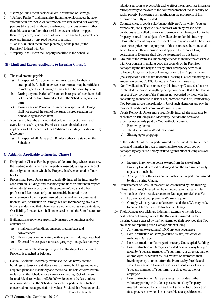- 1) "Damage" shall mean accidental loss, destruction or Damage.
- 2) "Defined Peril(s)" shall mean fire, lightning, explosion, earthquake, subterranean fire, riot, civil commotion, strikers, locked-out workers, persons taking part in labour disturbances, malicious persons (other than thieves), aircraft or other aerial devices or articles dropped therefrom, storm, flood, escape of water from any tank, apparatus or pipe and impact by any road vehicle or animal.
- 3) "Plan No(s)" shall mean those plan no(s) of the plans (of the Premises) lodged with Us.
- 4) "Property" shall mean the Property specified in the Schedule.

#### **(B) Limit and Excess Applicable to Insuring Clause 1**

- 1) The total amount payable
	- a) In respect of Damage to the Premises, caused by theft or attempted theft, shall not exceed such sum as may be sufficient to make good such Damage as may fall to be borne by You
	- b) During any one Period of Insurance in respect of each item shall not exceed the Sum Insured stated in the Schedule against such item
	- c) During any one Period of Insurance in respect of all Damage shall not exceed the sum of the Sums Insured stated in the Schedule against each item.
- 2) You have to bear the amount stated below in respect of each and every loss at each separate Premises as ascertained after the application of all the terms of the Certificate including Condition (F)1) (Average)
	- a) In respect of all Damage £250 unless otherwise stated in the Schedule

### **(C) Addenda Applicable to Insuring Clause 1**

- 1) Designation Clause. For the purpose of determining, where necessary, the heading under which any Property is insured, We agree to accept the designation under which the Property has been entered in Your books.
- 2) Professional Fees. Unless more specifically insured the insurance by each item on Buildings and Machinery includes an amount in respect of architects', surveyors', consulting engineers', legal and other professional fees necessarily and reasonably incurred in the reinstatement of the Property insured by the said items consequent upon its loss, destruction or Damage but not for preparing any claim. It being understood that where fees are not insured as a separate item, Our liability for such fees shall not exceed in total the Sum Insured for each item.
- 3) Buildings. Except where specifically insured the buildings and/or contents of
	- a) Small outside buildings, annexes, loading bays and conveniences
	- b) Extensions communicating with any of the Buildings described
	- c) External fire escapes, staircases, gangways and pedestrian ways

are insured under the item applying to the Buildings to which such Property is attached or belongs.

4) Capital Additions. Indemnity extends to include newly erected buildings, extensions and alterations to existing buildings and newly acquired plant and machinery and these shall be held covered before inclusion in the Schedule for a sum not exceeding 15% of the Sum Insured / declared value or £250,000 whichever is the less, unless otherwise shown in the Schedule on such Property at the situation concerned but not appreciation in value; Provided that You undertake to notify Us of the

additions as soon as practicable and to effect the appropriate insurance retrospectively to the date of the commencement of Your liability on such Property. Following such notification the provisions of this extension are fully reinstated.

- 5) Contract Price. If goods sold (but not delivered), for which You are responsible, are subject to a sale contract which by reason of its conditions is cancelled due to loss, destruction or Damage of or to the Property insured (the subject of a valid claim under this Insuring Clause) the amount payable in respect of such goods shall be based on the contract price. For the purposes of this insurance, the value of all goods to which this extension could apply in the event of loss, destruction or Damage shall also be ascertained on this basis.
- 6) Grounds of the Premises. Indemnity extends to include the costs paid, with Our consent in making good the grounds of the Premises damaged by the fire brigade or any other emergency service(s) following loss, destruction or Damage of or to the Property insured (the subject of a valid claim under this Insuring Clause) excluding any amount exceeding £5,000 during any Period of Insurance.
- 7) Non-Invalidation. The insurance by this Insuring Clause shall not be invalidated by reason of anything being done or omitted to be done in respect of any portion of the Premises not occupied by You, whether constituting an increase in risk or not, provided that You, immediately You become aware thereof, inform Us of such alteration and pay the reasonable additional premium We may require.
- 8) Debris Removal. Unless more specifically insured, the insurance by each item on Buildings and Machinery includes the costs and expenses necessarily paid by You, with Our consent, in
	- a) Removing debris
	- b) The dismantling and/or demolishing
	- c) Shoring up or propping

of the portion(s) of the Property insured by the said items (other than stock and materials in trade or merchandise) lost, destroyed or damaged by any cause hereby insured against but excluding costs or expenses

- i) Incurred in removing debris except from the site of such Property lost, destroyed or damaged and the area immediately adjacent to such site
- ii) Arising from pollution or contamination of Property not insured by this Insuring Clause.
- 9) Reinstatement of Loss. In the event of loss insured by this Insuring Clause, the Sum(s) Insured will be reinstated automatically in full from the date of the loss, destruction or Damage provided that You
	- a) Pay any additional premium We may require
	- b) Comply with any reasonable recommendations We may make to prevent further loss, destruction or Damage.
- 10) Theft Damage to Buildings. Indemnity extends to include loss, destruction or Damage of or to the Building(s) insured under this Insuring Clause caused by theft or attempted theft provided that You are liable for repairing such Damage but excluding
	- a) Any amount exceeding £10,000 any one occurrence
	- b) Loss, destruction or Damage caused by fire, explosion or malicious Damage
	- c) Loss, destruction or Damage of or to any Unoccupied Building
	- d) Loss, destruction or Damage expedited or in any way brought about by You, any member of Your family, or director, partner or employee, other than by loss by theft or attempted theft involving entry to or exit from the Premises by forcible and violent means or following threat of or assault or violence to You, any member of Your family, or director, partner or employee
	- e) Loss, destruction or Damage arising from or due to the voluntary parting with title or possession of any Property insured if induced by any fraudulent scheme, trick, device or false pretence or which is not traceable to a specific event.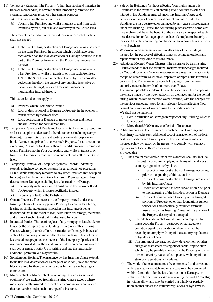- 11) Temporary Removal. The Property (other than stock and materials in trade or merchandise) is covered whilst temporarily removed for cleaning, renovation, repair or other similar purposes
	- a) Elsewhere on the same Premises
	- b) To any other Premises and whilst in transit to and from such Premises by road, rail or inland waterway in the British Isles.

The amount recoverable under this extension in respect of each item shall not exceed

- a) In the event of loss, destruction or Damage occurring elsewhere on the same Premises, the amount which would have been recoverable had the loss, destruction or Damage occurred in that part of the Premises from which the Property is temporarily removed
- b) In the event of loss, destruction or Damage occurring at any other Premises or whilst in transit to or from such Premises, 15% of the Sum Insured or declared value by such item after deducting therefrom the value of any building (exclusive of fixtures and fittings), stock and materials in trade or merchandise insured thereby.

This extension does not apply to

- a) Property which is otherwise insured
- b) Loss or destruction of or Damage to Property in the open or in transit caused by storm or flood
- c) Loss, destruction or Damage to motor vehicles and motor chassis licensed for normal road use
- 12) Temporary Removal of Deeds and Documents. Indemnity extends, in so far as it applies to deeds and other documents (including stamps thereon), manuscripts, plans and writing of every description and books (written and printed), to cover such Property, for an amount not exceeding 15% of the total value thereof, whilst temporarily removed to any Premises, not in Your occupation, and whilst in transit to or from such Premises by road, rail or inland waterway all in the British Isles.
- 13) Temporary Removal of Computer Systems Records. Indemnity extends to include computer systems for an amount not exceeding £1,000 while temporary removed to any other Premises (not occupied by You) and while in transit to or from such Premises against loss destruction or Damage excluding loss, destruction or Damage
	- a) To Property in the open or in transit caused by storm or flood
	- b) To Property which is more specifically insured
	- c) Occurring outside of the British Isles.
- 14) General Interests. The interest in the Property insured under this Insuring Clause of those supplying Property to You under a hiring, leasing or similar agreement is noted in this insurance it being understood that in the event of loss, destruction or Damage, the nature and extent of such interest will be disclosed by You.
- 15) Interested Parties. The act of neglect of any mortgagor, leaseholder or lessee or the occupier of any Building insured under this Insuring Clause, whereby the risk of loss, destruction or Damage is increased without the authority or knowledge of any mortgagee, freeholder or lessor shall not prejudice the interest of the latter party / parties in this insurance provided that they shall immediately on becoming aware of such act or neglect, notify Us in writing and pay the reasonable additional premium We may require.
- 16) Spontaneous Heating. The insurance by this Insuring Clause extends to include loss, destruction or Damage of or to coal, coke and wood blocks caused by their own spontaneous fermentation, heating or combustion.
- 17) Motor Vehicles. Motor vehicles (including their accessories and equipment) are excluded from this Insuring Clause except, where more specifically insured in respect of any amount over and above that recoverable under such more specific insurance.
- 18) Sale of the Buildings. Without effecting Your rights under this Certificate in the event of You entering into a contract to sell Your interest in the Buildings insured under this Insuring Clause and, between exchange of contracts and completion of the sale, the Buildings are lost, destroyed or damaged by any cause insured against under this Insuring Clause, the contracting purchaser who completes the purchase will have the benefit of the insurance in respect of such loss, destruction or Damage up to the date of completion, but only to the extent that the contracting purchaser cannot recover his or her loss from elsewhere.
- 19) Workmen. Workmen are allowed in all or any of the Buildings insured for the purpose of effecting minor structural alterations and repairs without prejudice to this insurance.
- 20) Additional Metered Water Charges. The insurance by this Insuring Clause extends to include additional metered water charges incurred by You and for which You are responsible as a result of the accidental escape of water from water tanks, apparatus or pipes at the Premises provided that You maintain a record of readings from the water authority meter at intervals of not more than 7 days. The amount payable as indemnity shall be ascertained by comparing

the charge made by the water authority on their account for the period during which the loss of metered water occurred, with the charges for the previous period adjusted for any relevant factors affecting Your normal consumption of water during the periods concerned. We shall not be liable for

- a) Loss, destruction or Damage in respect of any Building which is Unoccupied
- b) More than £5,000 in any one Period of Insurance
- 21) Public Authorities. The insurance by each item on Buildings and Machinery includes such additional cost of reinstatement of the lost, destroyed or damaged Property insured by such item as may be incurred solely by reason of the necessity to comply with statutory regulations or local authority bye-laws; Provided that
	- a) The amount recoverable under this extension shall not include
		- i) The cost incurred in complying with any of the aforesaid statutory regulations or bye-laws
			- 1) In respect of loss, destruction or Damage occurring prior to the granting of this extension
			- 2) In respect of loss, destruction or Damage not insured by this Insuring Clause
			- 3) Under which notice has been served upon You prior to the happening of the loss, destruction or Damage
			- 4) In respect of undamaged Property or undamaged portions of Property other than foundations (unless foundations are specifically excluded from the insurance by this Insuring Clause) of that portion of the Property destroyed or damaged
		- ii) The additional cost that would have been required to make good the Property destroyed or damaged to a condition equal to its condition when new had the necessity to comply with any of the statutory regulations or bye-laws not arisen
		- iii) The amount of any rate, tax, duty, development or other charge or assessment arising out of capital appreciation which may be payable in respect of the Property or by the owner thereof by reason of compliance with any of the statutory regulations or bye-laws.
	- b) The work of reinstatement must be commenced and carried out with reasonable despatch and in any case must be completed within 12 months after the loss, destruction or Damage, or within such further time as We may (during the said 12 months) in writing allow, and may be carried out wholly or partially upon another site (if the statutory regulations or bye-laws so

### CMU Commercial Combined 2017 01 4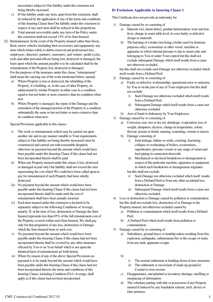necessitate) subject to Our liability under this extension not being thereby increased.

- c) If Our liability under any item, apart from this extension, shall be reduced by the application of any of the terms and conditions of this Insuring Clause then Our liability under this extension in respect of any such item shall be reduced in like proportions.
- d) Total amount recoverable under any item of the Policy under this extension shall not exceed 15% of its Sum Insured.
- 22) Reinstatement. In the event of the Property insured (other than Stock, Rent, motor vehicles (including their accessories and equipment), any item which relates solely to debris removal and professional fees, employees', directors', partners', customers', and visitors', pedal cycles, tools and other personal effects) being lost, destroyed or damaged, the basis upon which the amount payable is to be calculated shall be the reinstatement of the Property lost, destroyed or damaged. For the purposes of the insurance under this clause "reinstatement" shall mean the carrying out of the work mentioned below, namely
	- a) Where Property is lost or destroyed, the rebuilding of the Property, if a building, or, in the case of other Property, its replacement by similar Property in either case in a condition equal to but not better or more extensive than its condition when new
	- b) Where Property is damaged, the repair of the Damage and the restoration of the damaged portion of the Property to a condition substantially the same as but not better or more extensive than its condition when new.

Special Provisions applicable to this clause:-

- i) The work or reinstatement (which may be carried out upon another site and in any manner suitable to Your requirements subject to Our liability not being thereby increased) must be commenced and carried out with reasonable despatch; otherwise no payment beyond the amount which would have been payable under this Insuring Clause if this clause had not been incorporated therein shall be paid.
- ii) When any Property insured under this clause is lost, destroyed or damaged in part only Our liability shall not exceed the sum representing the cost which We could have been called upon to pay for reinstatement if such Property had been wholly destroyed.
- iii) No payment beyond the amount which would have been payable under this Insuring Clause if this clause had not been incorporated therein shall be made until the cost of reinstatement shall have been actually incurred.
- iv) Each item insured under this extension is declared to be separately subject to the following Conditions of Average, namely: If, at the time of loss, destruction or Damage the Sum Insured represents less than 85% of the full reinstatement cost of the Property covered within such Sum Insured, We shall pay only for that proportion of any loss, destruction or Damage which the Sum Insured bears to such cost.
- v) No payment beyond the amount which would have been payable under this Insuring Clause if this clause had not been incorporated therein shall be covered by any other insurance effected by You or on Your behalf which is not upon the identical basis of reinstatement set forth herein.
- vi) Where by reason of any of the above Special Provisions no payment is to be made beyond the amount which would have been payable under this Insuring Clause if this clause had not been incorporated therein, the terms and conditions of this Insuring Clause, including Condition (F)(1) Average, shall apply as if this clause had not been incorporated.

#### **D) Exclusions Applicable to Insuring Clause 1**

This Certificate does not provide an indemnity for

- 1) Damage caused by or consisting of
	- a) Inherent vice, latent defect, gradual deterioration, wear and tear, frost, change in water table level, its own faulty or defective design or materials
	- b) The bursting of a boiler (not being a boiler used for domestic purposes only), economiser or other vessel, machine or apparatus in which internal pressure is due to steam only and belonging to You or under Your control but this shall not exclude subsequent Damage which itself results from a cause not otherwise excluded.

but this shall not exclude such Damage not otherwise excluded which itself results from a Defined Peril.

- 2) Damage caused by or consisting of
	- a) Faulty or defective workmanship, operational error or omission, by You or on the part of any of Your employees but this shall not exclude
		- i) Such Damage not otherwise excluded which itself results from a Defined Peril
		- ii) Subsequent Damage which itself results from a cause not otherwise excluded
	- b) Acts of fraud or dishonesty by Your Employees
- 3) Damage caused by or consisting of
	- a) Corrosion, rust, wet or dry rot, shrinkage, evaporation, loss of weight, dampness, dryness, change in temperature, colour, flavour, texture or finish, marring, scratching, vermin or insects
	- b) Damage consisting of
		- i) Joint leakage, failure or welds, cracking, fracturing, collapse or overheating of boilers, economisers, superheaters, pressure vessels or any range of steam and feed piping in connection therewith
		- ii) Mechanical or electrical breakdown or derangement in respect of the particular machine, apparatus or equipment in which such breakdown or derangement originates but this shall not exclude
		- i) Such Damage not otherwise excluded which itself results from a Defined Peril or from any other accidental loss, destruction or Damage
		- ii) Subsequent Damage which itself results from a cause not otherwise excluded.
- 4) Loss or destruction or Damage caused by pollution or contamination but this shall not exclude loss, destruction of or Damage to the Property insured, not otherwise excluded caused by
	- a) Pollution or contamination which itself results from a Defined Peril
	- b) A Defined Peril which itself results from pollution or contamination.
- 5) Damage caused by or consisting of
	- a) Subsidence, ground heave or landslip unless resulting from fire, explosion, earthquake, subterranean fire or the escape of water from any tank, apparatus or pipe
	- b)
- i) The normal settlement or bedding down of new structures
- ii) The settlement or movement of made up ground ii) Coastal or river erosion
- c) Disappearance, unexplained or inventory shortage, misfiling or misplacing of information
- d) The voluntary parting with title or possession of any Property insured if induced by any fraudulent scheme, trick, device or false pretence.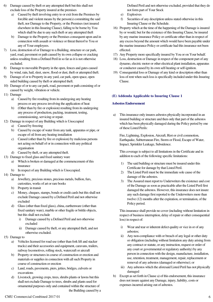- 6) Damage caused by theft or any attempted theft but this shall not exclude loss of the Property insured at the premises
	- a) Caused by theft involving entry to or exit from the Premises by forcible and violent means by the person(s) committing the said theft, nor Damage to the Property, or the Premises (not insured elsewhere in this Insuring Clause), falling to be borne by You which shall be due to any such theft or any attempted theft
	- b) Damage to the Property or the Premises consequent upon and in connection with assault or violence or threat thereof to You or any of Your employees.
- 7) Loss, destruction of or Damage to a Building, structure or car park, yard, road, pavement or path caused by its own collapse or cracking unless resulting from a Defined Peril in so far as it is not otherwise excluded.
- 8) Damage to moveable Property in the open, fences and gates caused by wind, rain, hail, sleet, snow, flood or dust, theft or attempted theft.
- 9) Damage of or to Property in any yard, car park, open space, open sided building caused by theft or attempted theft.
- 10) Damage of or to any car park, road, pavement or path consisting of or caused by weight, vibration or vehicle.
- 11) Damage
	- a) Caused by fire resulting from its undergoing any heating process or any process involving the application of heat
	- b) (Other than by fire or explosion) resulting from its undergoing any process of production, packing, treatment, testing, commissioning, servicing or repair.
- 12) Damage in respect of any Building which is Unoccupied
	- a) Caused by freezing
	- b) Caused by escape of water from any tank, apparatus or pipe, or escape of oil from any heating installation
	- c) Caused (other than by fire or explosion) by malicious persons not acting on behalf of or in connection with any political organisation
	- d) Caused by theft, or any attempted theft.
- 13) Damage to fixed glass and fixed sanitary ware
	- a) Which is broken or damaged at the commencement of this insurance
	- b) In respect of any Building which is Unoccupied.
- 14) Damage to
	- a) Jewellery, precious stones, precious metals, bullion, furs, curiosities, works of art or rare books
	- b) Property in transit
	- c) Money, cheques, stamps, bonds or credit cards but this shall not exclude Damage caused by a Defined Peril and not otherwise excluded
	- d) Glass (other than fixed glass), china, earthenware (other than fixed sanitary ware), marble or other fragile or brittle objects, but this shall not exclude
		- i) Damage caused by a Defined Peril and not otherwise excluded
		- ii) Damage caused by theft, or any attempted theft, and not otherwise excluded.
- 15) Damage to
	- a) Vehicles licensed for road use (other than fork lift and stacker trucks) and their accessories and equipment, caravans, trailers, railway locomotives, rolling stock, watercraft or aircraft
	- b) Property or structures in course of construction or erection and materials or supplies in connection with all such Property in course of construction or erection
	- c) Land, roads, pavements, piers, jetties, bridges, culverts or excavations
	- d) Livestock, growing crops, trees, shrubs plants or lawns but this shall not exclude Damage to trees, shrubs and plants used for ornamental purposes only and contained within the structure of the Building caused by a

Defined Peril and not otherwise excluded, provided that they do not form part of Your Stock

- e) Explosives
- f) Securities of any description unless stated otherwise in this Insuring Clause or the Schedule.
- 16) Property which at the time of the happening of the Damage is insured by or would, but for the existence of this Insuring Clause, be insured by any marine insurance Policy or certificate other than in respect of any excess beyond the amount which would have been payable under the marine insurance Policy or certificate had this insurance not been effected.
- 17) Any Property more specifically insured by You or on Your behalf.
- 18) Loss, destruction or Damage in respect of the component part of any dynamo, electric motor or other electrical plant installation, apparatus or conductor caused by its own self-heating or self-ignition.
- 19) Consequential loss or Damage of any kind or description other than loss of rent when such loss is specifically included under this Insuring Clause.

### **(E) Addenda Applicable to Insuring Clause 1**

### **Asbestos Endorsement**

a) This insurance only insures asbestos physically incorporated in an insured building or structure and then only that part of the asbestos which has been physically damaged during the Policy period by one of these Listed Perils:

Fire, Lightning, Explosion, Aircraft, Riot or civil commotion, Earthquake, Subterranean Fire, Storm or Flood, Escape of Water, Impact, Sprinkler Leakage, Subsidence.

This coverage is subject to all limitations in the Certificate and in addition to each of the following specific limitations:

- 1) The said building or structure must be insured under this Certificate for damage by that Listed Peril.
- 2) The Listed Peril must be the immediate sole cause of the damage of the asbestos.
- 3) The Assured must report to Underwriters the existence and cost of the Damage as soon as practicable after the Listed Peril first damaged the asbestos. However, this insurance does not insure any such damage first reported to the Underwriters more than twelve (12) months after the expiration, or termination, of the Policy period.

This insurance shall provide no cover (including without limitation in respect of business interruption, delay of repair or other consequential loss) in respect of:

- i) Wear and tear or inherent defect quality or vice in or of any asbestos;
- ii) Any non-compliance with or breach of any legal or other duty or obligation (including without limitation any duty arising from any contract or statute, or any instruction, request or order of any court or governmental or regulatory authority) by any person in connection with the design, manufacture, installation, use, retention, treatment, management, repair, replacement or removal of any asbestos (damaged or otherwise); or
- iii) Any asbestos which the aforesaid Listed Peril has not physically damaged
- b) Except as set forth in Clause a) of this endorsement, this insurance does not insure against any Damage, injury, liability, costs or expenses incurred arising out of asbestos.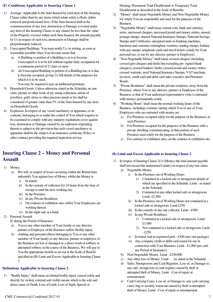#### **(F) Conditions Applicable to Insuring Clause 1**

- 1) Average. Applicable to the Sum Insured by each item of this Insuring Clause (other than by any items which relate solely to Rent, debris removal and professional fees). If the Sum Insured shall at the commencement of any loss, destruction or Damage (covered under any item of this Insuring Clause or any clause) be less than the value of the Property covered within such Sum Insured, the amount payable by Us in respect of such loss, destruction or Damage shall be proportionately reduced.
- 2) Unoccupied Buildings. You must notify Us, in writing, as soon as reasonably possible when You become aware that
	- a) A Building or portion of a Building is or is to become Unoccupied or is to be left without regular daily occupation for a continuous period of 21 days or more
	- b) An Unoccupied Building or portion of a Building has or is due to become occupied, giving Us full details of the purposes for which it is to be used.

You may be required to pay an additional premium.

- 3) Household Goods. Unless otherwise stated in the Schedule, no one curio, picture or other work of art, stamp collection, article of jewellery, gold, silver or other precious metal or fur shall be considered of greater value than 5% of the Sum Insured by any item on Household Goods.
- 4) Explosion. In respect of any vessel machinery or apparatus, or its contents, belonging to or under the control of You which requires to be examined to comply with any statutory regulations cover against loss, destruction or Damage caused by an explosion originating therein is subject to the provision that such vessel machinery or apparatus shall be the subject of an insurance certificate, Policy or other contract providing the required inspection service.

### **Insuring Clause 2 – Money and Personal Assault**

- 1) Money.
	- We will, in respect of losses occurring within the British Isles indemnify You against loss of Money whilst the Money is
		- i) In transit
		- ii) In the custody of collectors for 24 hours from the time of receipt or until the next working day
		- iii) In the Premises
		- iv) In any Private Residence
		- v) On contract or exhibition sites whilst Your Employees are working thereat
		- vi) In the night safe at a bank.
- 2) Personal Assault.
	- If, during the Period of Insurance
		- You or any other member of Your family or any director, partner or Employee of the Business suffers Bodily Injury
	- b) clothing and personal effects belonging to You or any other member of Your family or any director, partner or employee of the Business are lost or damaged as a direct result of robbery or attempted robbery in the course of the Business, We will pay to You the appropriate benefit as set out in the Scale of Benefit specified in (B) Limit and Excess Applicable to Insuring Clause 2

#### **Definitions Applicable to Insuring Clause 2**

1) "Bodily Injury" shall mean accidental bodily injury caused solely and directly by violent, external and visible means which is the sole and direct cause of Death, Loss of Limb, Loss of Sight, Speech or

Hearing, Permanent Total Disablement or Temporary Total Disablement as described in the Scale of Benefits.

- 2) "Money" shall mean Negotiable Money and Non-Negotiable Money for which You are responsible and used for the purposes of the Business.
- 3) "Negotiable Money" shall mean current coin, bank and currency notes, uncrossed cheques, uncrossed postal and money orders, unused postage stamps, unused National Insurance Stamps, National Savings Stamps and Certificates, unexpired units in franking machines, luncheon and customer redemption vouchers, trading stamps, holiday with pay stamps, telephone cards and travel tickets (solely for Your personal use, or use by any director, partner or Employee).
- 4) "Non-Negotiable Money" shall mean crossed cheques (including crossed giro cheques and drafts but excluding pre- signed blank cheques), crossed bankers' drafts, crossed postal and money orders, crossed warrants, used National Insurance Stamps, VAT purchase invoices, credit card and debit card sales vouchers and Premium Bonds.
- 5) "Private Residence" shall mean the private residence, away from the Premises, where You or any director, partner or Employee of the Business or that of Your authorised representative (who is entrusted with money) permanently reside.
- 6) "Working Hours" shall mean the normal working hours of the Business, including overtime, during which You or any of Your Employees who are entrusted with money are
	- a) For Premises occupied solely for the purpose of the Business, in such Premises
	- b) For Premises occupied for the purposes of the Business with a private dwelling communicating, in that portion of such Premises used solely for the purpose of the Business
	- c) For contract or exhibition sites, on the contract or exhibition site.

### **(B) Limit and Excess Applicable to Insuring Clause 2**

- In respect of Insuring Clause  $2(1)$  (Money) the total amount payable shall not exceed the undernoted Limit(s) in respect of any one claim: a) Negotiable Money
	- i) In the Premises out of Working Hours
		- 1) Contained in a locked safe or strongroom details of which are specified in the Schedule. Limit - as stated in the Schedule
		- 2) Contained in any other locked safe or strongroom. Limit- £2,500
	- ii) In the Premises out of Working Hours not contained in a locked safe or strongroom. Limit £250
	- iii) In the custody of any one collector. Limit £500
	- iv) In any Private Residence
		- 1) Contained in a locked safe or strongroom. Limit £1,000
		- 2) Not contained in a locked safe or strongroom. Limit - £250
	- v) In transit sent in registered post £500 (any one package)
	- vi) Any company credit or debit card issued for use in connection with Your Business. Limit - £1,000 (per card any Period of Insurance).
	- b) Non-Negotiable Money. Limit £250,000
	- c) Any other loss of Money. Limit As stated in the Schedule
	- d) Safes, Strongrooms and Cash Registers. Loss of, or Damage to, any safe, strongroom or cash register caused by theft or attempted theft of Money. Limit - Cost of repair or reinstatement
	- e) Cash Carrying Cases. Loss of, or Damage to, any cash carrying cases, bag or security waistcoat caused by theft or attempted theft of Money. Limit - Cost of repair or reinstatement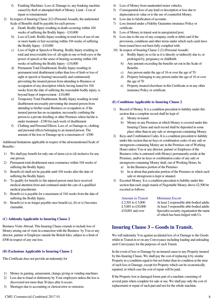- f) Franking Machines. Loss of, Damage to, any franking machine caused by theft or attempted theft of Money. Limit - Cost of repair or reinstatement
- 2) In respect of Insuring Clause 2(2) (Personal Assault), the undernoted Scale of Benefits shall be payable for each person:-
	- Death. Bodily Injury resulting in death occurring within 104 weeks of suffering the Bodily Injury - £10,000
	- b) Loss of Limb. Bodily Injury resulting in total loss of use of one or more hands or feet occurring within 104 weeks of suffering the Bodily Injury - £10,000
	- c) Loss of Sight or Speech or Hearing. Bodily Injury resulting in total and irrecoverable loss of: all sight in one or both eyes or the power of speech or the sense of hearing occurring within 104 weeks of suffering the Bodily Injury - £10,000
	- d) Permanent Total Disablement. Bodily Injury resulting in permanent total disablement (other than loss of limb or loss of sight or speech or hearing) necessarily and continuously preventing the insured person from attending to Business or occupation of any description which, having lasted for 104 weeks from the date of suffering the reasonable bodily injury, is beyond hope of improvement - £10,000
	- e) Temporary Total Disablement. Bodily Injury resulting in total disablement necessarily preventing the insured person from attending to his/her usual Business or occupation or, if the insured person has no occupation, necessarily confining the person to a private dwelling or other Premises where he/she is under treatment - £100 for each week of disablement
	- f) Clothing and Personal Effects. Loss of, or Damage to, clothing and personal effects belonging to an insured person. The amount of the loss or Damage up to a maximum of - £500

Additional limitations applicable in respect of the aforementioned Scale of Benefits:-

- 1) We shall pay benefit for only one of items (a) to (d) inclusive for any one person.
- 2) Permanent total disablement must commence within 104 weeks of suffering the Bodily Injury.
- 3) Benefit (d) shall not be payable until 104 weeks after the date of suffering the Bodily Injury.
- 4) To qualify for benefit (e) the injured person must have received medical attention from and continued under the care of a qualified medical practitioner.
- 5) Benefit (e) is payable for a maximum of 104 weeks from the date of suffering the Bodily Injury.
- 6) Benefit (e) is no longer payable once benefit (a), (b) or (c) becomes claimable.

#### **(C) Addenda Applicable to Insuring Clause 2**

Business Visits Abroad. This Insuring Clause extends to include loss of Money arising out of visits in connection with the Business by You or any director, partner or Employee outside the British Isles, subject to a limit of £500 in respect of any one loss.

### **(D) Exclusions Applicable to Insuring Clause 2**

This Certificate does not provide an indemnity for

- 1) Money in gaming, amusement, change giving or vending machines.
- 2) Loss due to fraud or dishonesty by Your employees unless the loss is discovered not more than 30 days after it occurs.
- 3) Shortages due to accounting or clerical error or omission.
- 4) Loss of Money from unattended motor vehicles.
- 5) Consequential loss of any kind or description or loss due to depreciation in value or to the use of counterfeit Money.
- 6) Loss due to falsification of accounts.
- 7) Loss insured under a Fidelity Guarantee insurance Policy or certificate.
- 8) Loss of Money in transit sent in unregistered post.
- 9) Loss due to the use of any company credit or debit card if the provisions, conditions and other terms under which such cards have been issued have not been fully complied with.
- 10) In respect of Insuring Clause 2 (2) (Personal Assault)
	- a) Bodily Injury in so far as it is directly or indirectly due to, or prolonged by, pregnancy or childbirth
	- b) Any amount exceeding the benefits set out in the Scale of **Benefits**
	- c) Any person under the age of 16 or over the age of 70
	- d) Property belonging to any person under the age of 16 or over the age of 70
	- e) Property insured elsewhere in this Certificate or in any other insurance Policy or certificate

### **(E) Conditions Applicable to Insuring Clause 2**

- Record of Money. It is a condition precedent to liability under this section that a complete record shall be kept of
	- a) Money in transit
	- b) Money in any Premises at which Money is covered under this Insuring Clause and such record shall be deposited in some place other than in any safe or strongroom containing Money.
- 2) Keys and Combination Codes. It is a condition precedent to liability under this section that no keys or combination codes of any safe or strongroom containing Money are in the Premises out of Working Hours unless You or any director, partner or Employee of the Business (who is entrusted with Money) permanently reside at the Premises, and/or no keys or combination codes of any safe or strongroom containing Money shall, out of Working Hours, be
	- a) In the Business portion of the Premises
	- b) In or about that particular portion of the Premises in which such safe or strongroom is kept or situated.
- 3) Escorted Money. It is a condition precedent to liability under this section that each single transit of Negotiable Money above £2,500 be escorted as follows:

Amount in Transit Minimum Escort

£ 2,501 to £ 5,000 At least 2 responsible able-bodied adults £ 5,001 to £10,000 At least 3 responsible able-bodied adults £10,001 and over Specialist security organisation the name of which has been lodged with Us

### **Insuring Clause 3 – Goods in Transit.**

We will indemnity You against accidental loss of or Damage to the Goods whilst in Transit in or on any Conveyance including loading and unloading such Conveyance for the purposes of such Transit.

In the event of loss or Damage by an insured cause to any Property insured by this Insuring Clause, We shall pay the cost of replacing it by similar Property in a condition equal to but not better than its condition at the time of such loss or Damage, except for Property which can be economically repaired, in which case the cost of repair will be paid.

If the Property lost or damaged forms part of a machine consisting of several parts when complete for sale or use, We shall pay only the cost of replacement or repair of such part and not for the whole machine.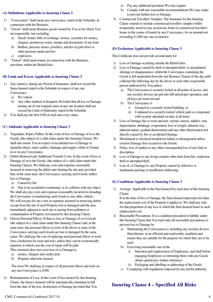#### **(A) Definitions Applicable to Insuring Clause 3**

- 1) "Conveyance" shall mean any conveyance, stated in the Schedule, in connection with the Business.
- 2) "Goods" shall mean Business goods owned by You or for which You are responsible, but excluding
	- a) Deeds, bonds, bills of exchange, money, securities for money, cheques, promissory notes, stamps and documents of any kind
	- b) Bullion, precious stones, jewellery, articles of gold silver or other precious metal and furs
	- c) explosives.
- 3) "Transit" shall mean transit, in connection with the Business, anywhere within the British Isles.

#### **(B) Limit and Excess Applicable to Insuring Clause 3**

- 1) Any claim(s), during any Period of Insurance, shall not exceed the Sums Insured stated in the Schedule in respect of any one **Conveyance** 
	- a) Per vehicle
	- b) Any other method of despatch; Provided that all loss or Damage arising out of one original cause at any one location shall not exceed the Limit of Indemnity stated in the Schedule.
- 2) You shall pay the first £100 of each and every claim.

#### **(C) Addenda Applicable to Insuring Clause 3**

- 1) Tarpaulins, Ropes, Pallets. In the event of loss or Damage of or to the Goods, (the subject of a valid claim under this Insuring Clause), We shall also insure You in respect of accidental loss or Damage to tarpaulin sheets, ropes, pallets, dunnage and toggles whilst in Transit in or on any Conveyance.
- 2) Debris Removal and Additional Transfer Costs. In the event of loss or Damage of or to the Goods, (the subject of a valid claim under this Insuring Clause), We shall pay costs and expenses reasonably incurred in removing the debris and clearing the site and, provided that, at the same time, the Conveyance carrying such Goods suffers loss or Damage
	- a) Caused by fire

b) Due to its accidental overturning, or its collision with any object. We shall also pay costs and expenses reasonably incurred in reloading the Conveyance or transferring such Goods to any other vehicle. We will not pay for any costs or expenses incurred in removing debris except from the site of such Property lost or damaged and the area immediately adjacent to such site or arising from pollution or contamination of Property not insured by this Insuring Clause.

- 3) Drivers Personal Effects. If there is loss or Damage of or to Goods (the subject of a valid claim under this Insuring Clause) and, at the same time, the personal effects or tools of the driver or mate of the Conveyance carrying such Goods are lost or damaged by the same cause, We shall pay the cost of replacing such personal effects or tools (less a deduction for wear and tear), unless they can be economically repaired, in which case the cost of repair will be paid. This extension does not cover loss of or Damage to
	- a) money, cheques and credit cards
	- b) Property otherwise insured.

The most We shall pay in respect of all personal effects and tools on any one Conveyance is £500.

4) Reinstatement of Loss. In the event of loss insured by this Insuring Clause, the Sum(s) Insured will be automatically reinstated in full from the date of the loss, destruction or Damage provided that You

- a) Pay any additional premium We may require
- b) Comply with any reasonable recommendations We may make to prevent further loss or Damage.
- 5) Commercial Travellers' Samples. The Insurance by this Insuring Clause extends to include commercial travellers' samples whilst temporarily stored in any stockroom, hotel or commercial traveller's house in the course of transit by any Conveyance, for an amount not exceeding £1,000 any one occurrence.

#### **(D) Exclusions Applicable to Insuring Clause 3**

This Certificate does not provide an indemnity for

- 1) Loss or Damage occurring outside the British Isles.
- 2) Loss or Damage caused by theft or attempted theft, or unexplained shortage or disappearance, whilst the Conveyance containing the Goods is left unattended from the last Business Transit of the day until collected the following day by the driver or such other responsible person authorised by You unless
	- a) The Conveyance is securely locked at all points of access, and any security devices are put into full and proper operation, and all keys are removed and
	- b) The Conveyance is
		- i) Garaged in a securely locked building, or
		- ii) Contained in a securely locked vehicle park or compound with security attendant on duty at all times.
- 3) Loss or Damage due to wear and tear, vermin, insects, mildew, rust, depreciation, shrinkage, evaporation, loss of weight, inherent vice, inherent nature, gradual deterioration and any other deterioration not directly caused by fire or accidental Damage.
- 4) Mechanical or electrical breakdown failure or derangement unless exterior Damage first occurred to the Goods.
- 5) Delay, loss of market or any other consequential loss of any kind or description.
- 6) Loss or Damage to any living creature other than from fire, explosion, theft or attempted theft.
- 7) Loss of, or Damage to, any Property caused by defective or inadequate packing or insufficient addressing.

#### **(E) Conditions Applicable to Insuring Clause 3**

1) Average. Applicable to the Sum Insured by each item of this Insuring Clause.

If at the time of loss or Damage, the Sum Insured represents less than the replacement cost of the Property it applies to, We shall pay only for that proportion of any loss or which the Sum Insured bears to such replacement cost.

- 2) Reasonable Precautions. It is a condition precedent to liability under this Insuring Clause that You must take all reasonable precautions to prevent loss or Damage by
	- a) Maintaining the Conveyance(s), including any security devices fitted thereto, in an efficient and roadworthy condition and ensure they are suitable for the purpose for which they are to be used
	- b) Exercising reasonable care in the
		- i) Selection and employment of Employees, and shall before engaging Employees or entrusting them with any Goods obtain satisfactory written references
		- ii) Packaging and labelling or addressing of the Goods
	- c) Complying with regulations imposed by any lawful authority.

### **Insuring Clause 4 – Specified All Risks**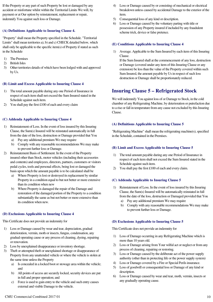If the Property or any part of such Property be lost or damaged by any accident or misfortune whilst within the Territorial Limits We will, by payment or at Our option by reinstatement, replacement or repair, indemnify You against such loss or Damage.

#### **(A) Definitions Applicable to Insuring Clause 4.**

"Property" shall mean the Property specified in the Schedule. "Territorial Limits" shall mean territories a), b) and c) CHECK detailed below, which shall only be applicable to the specific item(s) of Property if stated as such in the Schedule

- 1) The Premises
- 2) British Isles
- 3) Other territories details of which have been lodged with and approved by Us.

#### **(B) Limit and Excess Applicable to Insuring Clause 4**

- 1) The total amount payable during any one Period of Insurance in respect of each item shall not exceed the Sum Insured stated in the Schedule against such item.
- 2) You shall pay the first £100 of each and every claim

#### **(C) Addenda Applicable to Insuring Clause 4**

- 1) Reinstatement of Loss. In the event of loss insured by this Insuring Clause, the Sum(s) Insured will be reinstated automatically in full from the date of the loss, destruction or Damage provided that You
	- a) Pay any additional premium We may require
	- b) Comply with any reasonable recommendations We may make to prevent further loss or Damage.
- 2) Reinstatement Basis of Settlement. In the event of the Property insured other than Stock, motor vehicles (including their accessories and contents) and employees, directors, partners, customers or visitors pedal cycles, tools and personal effects, being lost or damaged the basis upon which the amount payable is to be calculated shall be
	- a) Where Property is lost or destroyed its replacement by similar Property in a condition equal to but not better or more extensive than its condition when new
	- b) Where Property is damaged the repair of the Damage and restoration of the damaged portion of the Property to a condition substantially the same as but not better or more extensive than its condition when new.

#### **(D) Exclusions Applicable to Insuring Clause 4**

This Certificate does not provide an indemnity for

- 1) Loss or Damage caused by wear and tear, depreciation, gradual deterioration, vermin, moth or insects, fungus, condensation, any gradual operating cause or any process of cleaning, dyeing, repairing or renovation.
- 2) Loss by unexplained disappearance or inventory shortage.
- 3) Theft or attempted theft or unexplained shortage or disappearance of Property from any unattended vehicle or where the vehicle is stolen at the same time unless the Property
	- a) Is concealed in a locked boot or stowage area within the vehicle; and
	- b) All points of access are securely locked, security devices are put in full and proper operation; and
	- c) Force is used to gain entry to the vehicle and such entry causes external and visible Damage to the vehicle.
- 4) Loss or Damage caused by or consisting of mechanical or electrical breakdown unless caused by accidental Damage to the exterior of the item.
- 5) Consequential loss of any kind or description.
- 6) Loss or Damage caused by the voluntary parting with title or possession of any Property insured if included by any fraudulent scheme trick, device or false pretence.

#### **(E) Conditions Applicable to Insuring Clause 4**

1) Average. Applicable to the Sum Insured by each item of this Insuring Clause.

If the Sum Insured shall at the commencement of any loss, destruction or Damage (covered under any item of this Insuring Clause or any extension) be less than the value of the Property covered within such Sum Insured, the amount payable by Us in respect of such loss destruction or Damage shall be proportionately reduced.

### **Insuring Clause 5 – Refrigerated Stock**

We will indemnify You against loss of or Damage to Stock, in the cold chamber of any Refrigerating Machine, by deterioration or putrefaction due to a rise or fall in temperature from any cause not excluded by this Insuring Clause.

#### **(A) Definitions Applicable to Insuring Clause 5**

"Refrigerating Machine" shall mean the refrigerating machine(s), specified in the Schedule, contained in the Premises.

#### **(B) Limit and Excess Applicable to Insuring Clause 5**

- 1) The total amount payable during any one Period of Insurance in respect of each item shall not exceed the Sum Insured stated in the Schedule against such item.
- 2) You shall pay the first £100 of each and every claim.

#### **(C) Addenda Applicable to Insuring Clause 5**

- 1) Reinstatement of Loss. In the event of loss insured by this Insuring Clause, the Sum(s) Insured will be automatically reinstated in full from the date of the loss, destruction or Damaged provided that You
	- a) Pay any additional premium We may require
	- b) Comply with any reasonable recommendations We may make to prevent further loss or Damage.

#### **(D) Exclusions Applicable to Insuring Clause 5**

This Certificate does not provide an indemnity for

- 1) Loss of Damage occurring in any Refrigerating Machine which is more than 10 years old.
- 2) Loss or Damage arising from Your wilful act or neglect or from any process of cleaning, repairing or restoring.
- 3) Loss or Damage caused by the deliberate act of the power supply authority (other than in protecting life or the power supply system)
- 4) Loss or Damage covered by a Fire or Special Perils insurance.
- 5) Loss of goodwill or consequential loss or Damage of any kind or description.
- 6) Loss or Damage caused by wear and tear, moth, vermin, insects or any gradually operating cause.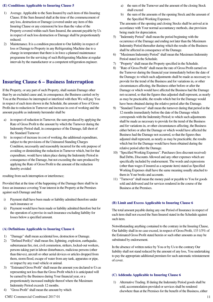#### **(E) Conditions Applicable to Insuring Clause 5**

- 1) Average. Applicable to the Sum Insured by each item of this Insuring Clause. If the Sum Insured shall at the time of the commencement of any loss, destruction or Damage (covered under any item of this Insuring Clause or any extension) be less than the value of the Property covered within such Sum Insured, the amount payable by Us in respect of such loss destruction or Damage shall be proportionately reduced.
- 2) Maintenance. It is a condition precedent to Our liability in respect of loss or Damage to Property in any Refrigerating Machine due to a change in temperature that there is in force a planned maintenance programme for the servicing of such Refrigerating Machine at regular intervals by the manufacturer or a competent refrigeration engineer.

### **Insuring Clause 6 – Business Interruption**

If the Property, or any part of such Property, shall sustain Damage other than by an excluded cause and, in consequence, the Business carried on by You at the Premises be interrupted or interfered with then We will pay You in respect of each item shown in the Schedule, the amount of loss of Gross Profit due to reduction in Turnover and increase in cost of working and the amount payable as indemnity hereunder shall be

- in respect of reduction in Turnover, the sum produced by applying the Rate of Gross Profit to the amount by which the Turnover during the Indemnity Period shall, in consequence of the Damage, fall short of the Standard Turnover
- b) in respect of increase in cost of working, the additional expenditure, subject to the provisions of the Uninsured Standing Charges Condition, necessarily and reasonably incurred for the sole purpose of avoiding or diminishing the reduction in Turnover which, but for that expenditure, would have taken place during the Indemnity Period in consequence of the Damage, but not exceeding the sum produced by applying the Rate of Gross Profit to the amount of the reduction thereby avoided

resulting from such interruption or interference;

Provided that at the time of the happening of the Damage there shall be in force an insurance covering Your interest in the Property at the Premises against such Damage and that

- i) Payment shall have been made or liability admitted therefore under such insurance or
- ii) Payment would have been made or liability admitted therefore but for the operation of a proviso in such insurance excluding liability for losses below a specified amount.

#### **(A) Definitions Applicable to Insuring Clause 6**

- 1) "Damage" shall mean accidental loss, destruction or Damage.
- 2) "Defined Peril(s)" shall mean fire, lightning, explosion, earthquake, subterranean fire, riot, civil commotion, strikers, locked-out workers, persons taking part in labour disturbances, malicious persons (other than thieves), aircraft or other aerial devices or articles dropped from them, storm flood, escape of water from any tank, apparatus or pipe, or impact by any road vehicle or animal.
- 3) "Estimated Gross Profit" shall mean the amount you declared to Us as representing not less than the Gross Profit which it is anticipated will be earned by the Business during Your financial year, or a proportionately increased multiple thereof where the Maximum Indemnity Period exceeds 12 months.
- "Gross Profit" shall mean the amount by which
- a) the sum of the Turnover and the amount of the closing Stock shall exceed
- b) the sum of the amounts of the opening Stock and the amount of the Specified Working Expenses.

The amounts of the opening and closing Stocks shall be arrived at in accordance with Your normal accountancy methods, due provision being made for depreciation.

- 5) "Indemnity Period" shall mean the period beginning with the occurrence of the Damage and ending not later than the Maximum Indemnity Period thereafter during which the results of the Business shall be affected in consequence of the Damage.
- 6) "Maximum Indemnity Period" shall mean the Maximum Indemnity Period stated in the Schedule.
- 7) "Property" shall mean the Property specified in the Schedule.
- 8) "Rate of Gross Profit" shall mean the rate of Gross Profit earned on the Turnover during the financial year immediately before the date of the Damage; to which such adjustments shall be made as necessary to provide for the trend of the Business and for variations in, or other circumstances affecting, the Business either before or after the Damage or which would have affected the Business had the Damage not occurred, so that the figures thus adjusted shall represent, as nearly as may be practicable, the results which but for the Damage would have been obtained during the relative period after the Damage.
- 9) "Standard Turnover" shall mean the turnover during that period in the 12 months immediately before the date of the Damage which corresponds with the Indemnity Period; to which such adjustments shall be made as necessary to provide for the trend of the Business and for variations in, or other circumstances affecting, the Business either before or after the Damage or which would have affected the Business had the Damage not occurred, so that the figures thus adjusted shall represent, as nearly as may be practicable, the results which but for the Damage would have been obtained during the relative period after the Damage.
- 10) "Specified Working Expenses". Purchases (less discount received) Bad Debts, Discounts Allowed and any other expenses which are specifically included by endorsement. The words and expressions (other than wages if insured as a separate item) stated as Specified Working Expenses shall have the same meaning usually attached to them in Your books and accounts.
- 11) "Turnover" shall mean the money paid or payable to You for goods sold and delivered and for services rendered in the course of the Business at the Premises.

#### **(B) Limit and Excess Applicable to Insuring Clause 6**

The total amount payable during any one Period of Insurance in respect of each item shall not exceed the Sum Insured stated in the Schedule against such item.

Notwithstanding anything contained to the contrary in the Insuring Clause, Our liability shall in no case exceed, in respect of Gross Profit, 133 1/3% of the Estimated Gross Profit stated herein or such other amounts as may be substituted by endorsement.

In the absence of written notice by You or by Us to the contrary Our liability shall not stand reduced by the amount of any loss, You undertaking to pay the appropriate additional premium for such automatic reinstatement of cover.

#### **(C) Addenda Applicable to Insuring Clause 6**

1) Alternative Trading. If during the Indemnity Period goods shall be sold, accommodation provided or services shall be rendered elsewhere than at the Premises for the benefit of the Business, either

 $CMU$  Commercial Combined 2017 01 11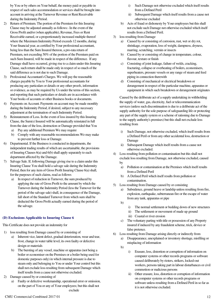by You or by others on Your behalf, the money paid or payable in respect of such sales accommodation or services shall be brought into account in arriving at the Turnover Revenue or Rent Receivable during the Indemnity Period.

- 2) Return of Premium. The portion of the Premium for this Insuring Clause may be adjusted annually as follows:- In the event of the Gross Profit and/or (when applicable), Revenue, Fees or Rent Receivable earned, or a proportionately increased multiple thereof where the Maximum Indemnity Period exceeds 12 months, during Your financial year, as certified by Your professional accountant, being less than the Sum Insured thereon, a pro-rata return of Premium, not exceeding 50% of the portion of the Premium paid on such Sum Insured, will be made in respect of the difference. If any Damage shall have occurred, giving rise to a claim under this Insuring Clause, such return shall be made only in respect of so much of the said difference as is not due to such Damage.
- 3) Professional Accountant's Charges. We will pay the reasonable charges payable by You to Your professional accountants for producing any particulars or details or any other proofs, information or evidence, as may be required by Us under the terms of this section, and reporting that such particulars or details are in accordance with Your books of accounts or other Business books or documents.
- 4) Payments on Account. Payments on account may be made monthly during the Indemnity Period, if desired, subject to any necessary adjustment at the termination of such Indemnity Period.
- 5) Reinstatement of Loss. In the event of loss insured by this Insuring Clause, the Sum(s) Insured will be automatically reinstated in full from the date of the loss, destruction or Damage provided that You
	- a) Pay any additional Premium We may require
	- b) Comply with any reasonable recommendations We may make to prevent further loss or Damage.
- 6) Departmental. If the Business is conducted in departments, the independent trading results of which are ascertainable, the provisions of Insuring Clauses 6(a) and 6(b) shall apply separately to each department affected by the Damage.
- 7) Salvage Sale. If, following Damage giving rise to a claim under this Insuring Clause You shall hold a salvage sale during the Indemnity Period, then for any item of Gross Profit Insuring Clause 6(a) shall, for the purposes of such claims, read as follows
	- a) In respect of reduction in Turnover, the sum produced by applying the rate of Gross Profit to the amount by which the Turnover during the Indemnity Period (less the Turnover for the period of the salvage sale) shall, in consequence of the Damage, fall short of the Standard Turnover from which sum shall be deducted the Gross Profit actually earned during the period of the salvage.

### **(D) Exclusions Applicable to Insuring Clause 6**

This Certificate does not provide an indemnity for

- 1) loss resulting from Damage caused by or consisting of
	- a) Inherent vice, latent defect, gradual deterioration, wear and tear, frost, change in water table level, its own faulty or defective design or materials
	- b) The bursting of any vessel, machine or apparatus (not being a boiler or economiser on the Premises or a boiler being used for domestic purposes only) in which internal pressure is due to steam only and belonging to You or under Your control but this shall not exclude loss resulting from subsequent Damage which itself results from a cause not otherwise excluded.
- 2) Damage caused by or consisting of
	- a) Faulty or defective workmanship, operational error or omission, on the part of You or any of Your employees; but this shall not exclude
- i) Such Damage not otherwise excluded which itself results from a Defined Peril
- ii) Subsequent Damage which itself results from a cause not otherwise excluded
- b) Acts of fraud or dishonesty by Your employees but this shall not exclude such Damage not otherwise excluded which itself results from a Defined Peril.
- 3) loss resulting from Damage
	- a) Caused by or consisting of corrosion, rust, wet or dry rot, shrinkage, evaporation, loss of weight, dampness, dryness, marring, scratching, vermin or insects
	- b) Caused by or consisting of change in temperature, colour, flavour, texture or finish
	- c) Consisting of joint leakage, failure of welds, cracking, fracturing, collapse or overheating of boilers, economisers, superheaters, pressure vessels or any range of steam and feed piping in connection therewith
	- d) Consisting of mechanical or electrical breakdown or derangement in respect of the particular machine, apparatus or equipment in which such breakdown or derangement originates

Caused by the deliberate act of a supply undertaking in withholding the supply of water, gas, electricity, fuel or telecommunication services (unless such discontinuation is due to a deliberate act of the supply authority for the sole purpose of safeguarding life or protecting any part of the supply system or a scheme of rationing due to Damage to the supply authority's premises) but this shall not exclude loss resulting from

- i) Such Damage, not otherwise excluded, which itself results from a Defined Peril or from any other accidental loss, destruction or Damage
- ii) Subsequent Damage which itself results from a cause not otherwise excluded.
- 4) Loss resulting from pollution or contamination but this shall not exclude loss resulting from Damage, not otherwise excluded, caused by
	- a) Pollution or contamination at the Premises which itself results from a Defined Peril
	- b) A Defined Peril which itself results from pollution or contamination.
- 5) Loss resulting from Damage caused by or consisting
	- a) Subsidence, ground heave or landslip unless resulting from fire, explosion, earthquake, subterranean fire or the escape of water from any tank, apparatus or pipe
	- b)
- i) The normal settlement or bedding down of new structures
- ii) The settlement or movement of made up ground
- iii) Coastal or river erosion
- c) The voluntary parting with title or possession of any Property insured if induced by any fraudulent scheme, trick, device or false pretence.
- 6) Loss resulting from Damage arising directly or indirectly from
	- a) Disappearance, unexplained or inventory shortage, misfiling or misplacing of information
	- b)
- i) Erasure, loss, distortion or corruption of information on computer systems or other records programs or software caused deliberately by rioters, strikers, locked-out workers, persons taking part in labour disturbances or civil commotion or malicious persons
- ii) Other erasure, loss, distortion or corruption of information on computer systems or other records programs or software unless resulting from a Defined Peril in so far as it is not otherwise excluded.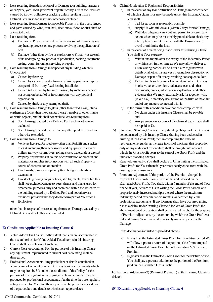- 7) Loss resulting from destruction of or Damage to a building, structure or car park, yard, road, pavement or path used by You at the Premises caused by its own collapse or cracking unless resulting from a Defined Peril in so far as it is not otherwise excluded.
- 8) Loss resulting from Damage to moveable Property in the open, fences and gates caused by wind, rain, hail, sleet, snow, flood or dust, theft or attempted theft.
- 9) Loss resulting from
	- a) Damage to Property caused by fire as a result of its undergoing any heating process or any process involving the application of heat
	- b) Damage (other than by fire or explosion) to Property as a result of its undergoing any process of production, packing, treatment, testing, commissioning, servicing or repair.
- 10) Loss resulting from Damage in respect of any building which is Unoccupied
	- a) Caused by freezing
	- b) Caused by escape of water from any tank, apparatus or pipe or escape of oil from any fixed heating installation
	- c) Caused (other than by fire or explosion) by malicious persons not acting on behalf of or in connection with any political organisation
	- d) Caused by theft, or any attempted theft.
- 11) Loss resulting from Damage to glass (other than fixed glass), china, earthenware (other than fixed sanitary ware), marble or other fragile or brittle objects, but this shall not exclude loss resulting from
	- a) Such Damage caused by a Defined Peril and not otherwise excluded
	- b) Such Damage caused by theft, or any attempted theft, and not otherwise excluded.
- 12) Loss resulting from Damage to
	- a) Vehicles licensed for road use (other than fork lift and stacker trucks), including their accessories and equipment, caravans, trailers, railway locomotives, rolling stock, watercraft or aircraft
	- b) Property or structures in course of construction or erection and materials or supplies in connection with all such Property in course of construction or erection
	- c) Land, roads, pavements, piers, jetties, bridges, culverts or excavations
	- d) Livestock, growing crops or trees, shrubs, plants, lawns but this shall not exclude Damage to trees, shrubs and plants used for ornamental purposes only and contained within the structure of the building caused by a Defined Peril and not otherwise excluded, provided that they do not form part of Your stock
	- e) Explosives

other than in respect of loss resulting from such Damage caused by a Defined Peril and not otherwise excluded.

### **E) Conditions Applicable to Insuring Clause 6**

- 1) Value Added Tax Clause To the extent that You are accountable to the tax authorities for Value Added Tax all terms in this Insuring Clause shall be exclusive of such tax.
- 2) Current Cost Accounting. For the purpose of this Insuring Clause, any adjustment implemented in current cost accounting shall be disregarded
- 3) Professional Accountants. Any particulars or details contained in Your books of account or other Business books or documents which may be required by Us under the conditions of this Policy for the purpose of investigating or verifying any claim hereunder may be produced by professional accountants, if at the time they are regularly acting as such for You, and their report shall be prima facie evidence of the particulars and details to which such report relates.
- 4) Claim Notification & Rights and Responsibilities
	- In the event of any loss destruction or Damage in consequence of which a claim is or may be made under this Insuring Clause, You shall
		- i) Tell Us as soon as reasonably possible
		- ii) supply Us with full details (within 7 days for riot Damage)
		- iii) With due diligence carry out and permit to be taken any action which may be reasonably practicable to check any interruption of or interference with the Business or to avoid or minimise the loss.
	- b) In the event of a claim being made under this Insuring Clause, You shall at Your expense
		- i) Within one month after the expiry of the Indemnity Period or within such further time as We may allow, deliver to Us in writing particulars of Your claim together with details of all other insurances covering loss destruction or Damage or part of it or any resulting consequential loss
		- ii) Deliver to Us such books of account and other Business books, vouchers, invoices, balance sheets and other documents, proofs, information, explanation and other evidence that We may reasonably ask for together with, (if We ask), a statutory declaration of the truth of the claim and of any matters connected with it.
	- c) If the terms of this condition have not been complied with
		- i) No claim under this Insuring Clause shall be payable and
		- ii) Any payment on account of the claim already made shall be repaid to Us.
- 5) Uninsured Standing Charges. If any standing charges of the Business be not insured by this Insuring Clause (having been deducted in arriving at the Gross Profit) then in computing the amount recoverable hereunder as increase in cost of working, that proportion only of any additional expenditure shall be brought into account which the Gross Profit bears to the sum of the Gross Profit and the uninsured standing charges.
- 6) Renewal. Annually, You shall declare to Us in writing the Estimated Gross Profit for Your financial year most nearly concurrent with the ensuing year of insurance
- 7) Premium Adjustment. If the portion of the Premium charged in respect of Gross Profit is only provisional and is based on the Estimated Gross Profit. You shall, within 6 months of the end of Your financial year, declare to Us in writing the Gross Profit earned, or a proportionately increased multiple thereof where the maximum indemnity period exceeds twelve months, as certified by Your professional accountants. If any Damage shall have occurred giving rise to a claim, under Insuring Clause 6 for loss of Gross Profit the above mentioned declaration shall be increased by Us, for the purpose of Premium adjustment, by the amount by which the Gross Profit was reduced during Your financial year solely in consequence of the Damage.

If the declaration (adjusted as provided above)

- a) Is less than the Estimated Gross Profit for the relative period We will allow a pro rata return of the portion of the Premium paid on the Estimated Gross Profit but not exceeding 50% of such Premium
- b) Is greater than the Estimated Gross Profit for the relative period You shall pay a pro rata addition to the portion of the Premium paid on the Estimated Gross Profit.

Furthermore, Addendum (2) (Return of Premium) in this Insuring Clause is deleted.

### **(F) Extensions Applicable to Insuring Clause 6**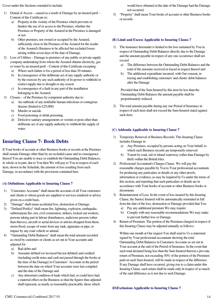Cover under this Sections extended to include:

- 1) Denial of Access caused as a result of Damage by an insured peril Content of this Certificate to:
	- a) Property in the vicinity of the Premises which prevents or hinders the use of or access to the Premises, whether the Premises or Property of the Assured in the Premises is damaged or not.
	- b) Other premises, not owned or occupied by the Assured, sufficiently close to the Premises of the Assured for the results of the Assured's Business to be affected but excluded losses arising within seven days of the date of Damage.
- 2) Loss of Utilities Damage to premises of any public or private supply company undertaking from whom the Assured obtains electricity, gas or water by an insured peril – Content of this Certificate excepting:
	- a) Where such failure is for a period of less than 30 minutes.
	- b) In consequence of the deliberate act of any supply authority or by the exercise by any such authority of its power to withhold or restrict supply due to drought or any reason
	- c) In consequence of a fault in any part of the installation belonging to the Assured.
- 3) Closure of the Premises by competent authority due to:
	- a) An outbreak of any notifiable human infectious or contagious disease (limited to £25,000)
	- b) Murder or suicide.
	- c) Food poisoning or drink poisoning.
	- d) Defective sanitary arrangements or vermin or pests other than deliberate act of any supply authority to withhold the supply of water.

### **Insuring Clause 7- Book Debts**

If Your books of account or other Business books or records at the Premises shall sustain Damage other than by an excluded cause and in consequence thereof You are unable to trace or establish the Outstanding Debit Balances, in whole or in part, due to You then We will pay to You in respect of each item, shown in the Schedule, the amount of loss resulting from such Damage, in accordance with the provisions contained here.

### **(A) Definitions Applicable to Insuring Clause 7**

- 1) "Customers Accounts" shall mean the accounts of all Your customers and clients to whom goods are supplied or services rendered or advice given on a credit basis.
- 2) "Damage" shall mean accidental loss, destruction or Damage.
- 3) "Defined Peril(s)" shall mean fire, lightning, explosion, earthquake, subterranean fire, riot, civil commotion, strikers, locked-out workers, persons taking part in labour disturbances, malicious persons (other than thieves), aircraft or aerial devices or articles dropped from them, storm flood, escape of water from any tank, apparatus or pipe, or impact by any road vehicle or animal.
- 4) "Outstanding Debit Balances" shall mean the total amount recorded as owed by customers or clients as set out in Your accounts and adjusted for
	- a) Bad debts and
	- b) Amounts debited (or invoiced but not debited) and credited (including credit notes and cash not passed through the books at the time of the Damage) to Customers' Accounts in the period between the date on which Your accounts were last compiled and the date of the Damage and
	- c) Any abnormal condition of trade which had, or could have had, a material effect on the Business so that the figures thus adjusted shall represent, as nearly as reasonably practicable, those which

would have obtained at the date of the Damage had the Damage not occurred.

5) "Property" shall mean Your books of account or other Business books or records.

#### **(B) Limit and Excess Applicable to Insuring Clause 7**

- The insurance hereunder is limited to the loss sustained by You in respect of Outstanding Debit Balances directly due to the Damage and the amount payable in respect of any one occurrence shall not exceed
	- a) The difference between the Outstanding Debit Balances and the total of the amounts received or traced in respect thereof and
	- b) The additional expenditure incurred, with Our consent, in tracing and establishing customers' and clients' debit balances after the Damage

Provided that if the Sum Insured by this item be less than the Outstanding Debit Balances the amount payable shall be proportionately reduced.

2) The total amount payable during any one Period of Insurance in respect of each item shall not exceed the Sum Insured stated against such item.

#### **(C) Addenda Applicable to Insuring Clause 7**

- 1) Temporary Removal of Business Records. This Insuring Clause includes Damage in
	- a) Any Premises, occupied by persons acting on Your behalf, to which such Business records are temporarily removed
	- b) Transit by road, rail or inland waterway (other than Damage by theft) within the British Isles.
- 2) Professional Accountant's Charges Clause. We will pay the reasonable charges payable by You to Your professional accountants for producing any particulars or details or any other proofs, information or evidence, as may be required by Us under the terms of this section, and reporting that such particulars or details are in accordance with Your books of account or other Business books or documents.
- 3) Reinstatement of Loss. In the event of loss insured by this Insuring Clause, the Sum(s) Insured will be automatically reinstated in full from the date of the loss, destruction or Damage provided that You
	- a) Pay any additional premium We may require
	- b) Comply with any reasonable recommendations We may make to prevent further loss or Damage.
- 4) Return of Premium. The portion of the Premium charged in respect of this Insuring Clause may be adjusted annually as follows:-

Within one month at Our request You shall send to Us a statement signed by Your professional accountant showing the total Outstanding Debit Balances in Customers Accounts as set out in Your account at the end of the Period of Insurance. In the event that such total declared being less than the Sum Insured thereon a pro-rata return of Premium, not exceeding 50% of the portion of the Premium paid on such Sum Insured, will be made in respect of the difference. If any Damage shall have occurred, giving rise to a claim under this Insuring Clause, such return shall be made only in respect of so much of the said difference as is not due to such Damage.

### **(D)Exclusions Applicable to Insuring Clause 7**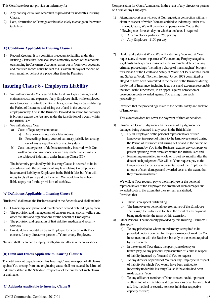This Certificate does not provide an indemnity for

- 1) Any consequential loss other than as provided for under this Insuring Clause.
- 2) Loss, destruction or Damage attributable solely to change in the water table level.

#### **(E) Conditions Applicable to Insuring Clause 7**

1) Record Keeping. It is a condition precedent to liability under this Insuring Clause that You shall keep a monthly record of the amounts outstanding in Customers Accounts, as set out in Your own accounts, and that such record either be sent to Us within 60 days of the end of each month or be kept at a place other than the Premises.

### **Insuring Clause 8 - Employers Liability**

- 1) We will indemnify You against liability at law to pay damages and claimants costs and expenses if any Employee shall, while employed in or temporarily outside the British Isles, sustain Injury caused during the Period of Insurance and arising out of and in the course of employment by You in the Business; Provided an action for damages is brought against the Assured under the jurisdiction of a court within the British Isles.
- 2) We will also pay Your
	- a) Costs of legal representation at
		- i) Any coroner's inquest or fatal inquiry
		- ii) Proceedings in any court of summary jurisdiction arising out of any alleged breach of statutory duty
	- b) Costs and expenses of defence reasonably incurred, with Our written consent, in connection with any matter which may be the subject of indemnity under Insuring Clause 8(1).

The indemnity provided by this Insuring Clause is deemed to be in accordance with the provisions of any law relating to compulsory insurance of liability to Employees in the British Isles but You will repay to Us all sums paid by Us which We would not have been liable to pay but for the provisions of such law.

#### **(A) Definitions Applicable to Insuring Clause 8**

"Business" shall mean the Business stated in the Schedule and shall include

- 1) Ownership, occupation and maintenance of land or buildings by You
- 2) The provision and management of canteen, social, sports, welfare and other facilities and organisations for the benefit of Employees
- 3) The provision and operation of first aid, fire, medical and security services
- 4) Private duties undertaken by an Employee for You or, with Your consent, for any director or partner of Yours or any Employee.

"Injury" shall mean bodily injury, death, disease, illness or nervous shock.

### **(B) Limit and Excess Applicable to Insuring Clause 8**

The total amount payable under this Insuring Clause in respect of all claims against You arising from one originating cause shall not exceed the Limit of Indemnity stated in the Schedule irrespective of the number of such claims or claimants.

### **(C) Addenda Applicable to Insuring Clause 8**

Compensation for Court Attendance. In the event of any director or partner of Yours or any Employee

- 1) Attending court as a witness, at Our request, in connection with any claim in respect of which You are entitled to indemnity under this Insuring Clause, We will provide compensation to You at the following rates for each day on which attendance is required a) Any director or partner - £250 per day
	-
	- b) Any Employee £150 per day
- 2) Health and Safety at Work. We will indemnify You and, at Your request, any director or partner of Yours or any Employee against legal costs and expenses reasonably incurred in the defence of any criminal proceedings (including a charge of manslaughter) brought for a breach of the Health and Safety at Work Act 1974 or the Health and Safety at Work (Northern Ireland) Order 1978 committed or alleged to have been committed in the course of the Business during the Period of Insurance, including legal costs and expenses reasonably incurred, with Our consent, in an appeal against conviction or prosecution costs awarded against You arising from such proceedings;

Provided that the proceedings relate to the health, safety and welfare of Employees.

This extension does not cover the payment of fines or penalties.

- 3) Unsatisfied Court Judgements. In the event of a judgement for damages being obtained in any court in the British Isles
	- a) By an Employee or the personal representatives of such Employee, in respect of injury to the Employee caused during the Period of Insurance and arising out of and in the course of employment by You in the Business, against any company or person operating from premises within the British Isles and
	- b) Remaining unsatisfied in whole or in part six months after the date of such judgement We will, at Your request, pay to the Employee or the personal representatives of the Employee the amount of such damages and awarded costs to the extent that they remain unsatisfied

We will, at Your request, pay to the Employee or the personal representatives of the Employee the amount of such damages and awarded costs to the extent that they remain unsatisfied; Provided that

- i) There is no appeal outstanding
- ii) The Employee or personal representatives of the Employee shall assign the judgement to Us in the event of any payment being made under the terms of this extension.
- 4) Other Persons. The indemnity provided by this Insuring Clause will also apply
	- a) To any principal to whom an indemnity is required to be provided under a contract for the performance of work by You in connection with the Business but only to the extent required by such contract
	- b) In the event of Your death, incapacity, insolvency or bankruptcy, to any personal representative of Yours in respect of liability incurred by You and if You so request
	- c) To any director or partner of Yours or any Employee in respect of liability for which You would have been entitled to indemnity under this Insuring Clause if the claim had been made against You
	- d) To any officer or member of Your canteen, social, sports or welfare and other facilities and organisations or ambulance, first aid, fire, medical or security services in his/her respective capacity as such;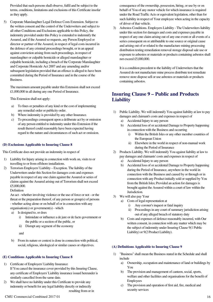Provided that such persons shall observe, fulfil and be subject to the terms, conditions, limitations and exclusions of this Certificate insofar as they apply.

5) Corporate Manslaughter Legal Defence Costs Extension. Subject to the written consent and the control of the Underwriters and subject to all other Conditions and Exclusions applicable to this Policy, the indemnity provided under this Policy is extended to indemnify the Assured, and if the Assured so requests, any Person Employed or director or partner of the Assured, in respect of legal costs incurred in the defence of any criminal proceedings brought, or in an appeal against conviction arising from such proceedings, in respect of manslaughter or culpable homicide or alleged manslaughter or culpable homicide, including a breach of the Corporate Manslaughter and Corporate Homicide Act 2007 and any amending and/or subsequent legislation provided that an offence is alleged to have been committed during the Period of Insurance and in the course of the Business.

The maximum amount payable under this Extension shall not exceed £1,000,000 in all during any one Period of Insurance.

This Extension shall not apply:

- a) To fines or penalties of any kind or the cost of implementing any remedial order or publicity order.
- b) Where indemnity is provided by any other Insurance.
- c) To proceedings consequent upon a deliberate act by or omission of any person entitled to indemnity under this Extension if the result thereof could reasonably have been expected having regard to the nature and circumstances of such act or omission.

#### **(D) Exclusions Applicable to Insuring Clause 8**

This Certificate does not provide an indemnity in respect of

- 1) Liability for Injury arising in connection with work on, visits to or travelling to or from offshore installations.
- 2) Terrorism Employers' Liability Exception. The liability of the Underwriters under this Section for damages costs and expenses payable in respect of any one claim against the Assured or series of claims against the Assured arising out of Terrorism shall not exceed £5,000,000.

#### Definition

An act - whether involving violence or the use of force or not - or the threat or the preparation thereof, of any person or group(s) of persons - whether acting alone or on behalf of or in connection with any organisation(s) or government(s) - which

- a) Is designed to, or does
	- i) Intimidate or influence a de jure or de facto government or the public or a section of the public, or
	- ii) Disrupt any segment of the economy

and

b) From its nature or context is done in connection with political, social, religious, ideological or similar causes or objectives.

#### **(E) Conditions Applicable to Insuring Clause 8**

- 1) Certificate of Employers' Liability Insurance If You cancel the insurance cover provided by this Insuring Clause, any certificate of Employers' Liability insurance issued hereunder is similarly cancelled from the same date.
- 2) We shall have no liability under this Certificate to provide any indemnity or benefit for any legal liability directly or indirectly resulting from or in

consequence of the ownership, possession, hiring, or use by or on behalf of You of any motor vehicle for which insurance is required under the Road Traffic Acts or equivalent legislation, other than for such liability in respect of Your employee when acting in the capacity of driver of that vehicle.

3) Asbestos Conditions. Employers Liability - The Underwriters liability under this section for damages and costs and expenses payable in respect of any one claim arising out of any one event or all events of a series consequent on or attributable to one source or original cause and arising out of or related to the manufacture mining processing distribution testing remediation removal storage disposal sale use or exposure to asbestos or materials or products containing asbestos shall not exceed £5,000,000.

It is a condition precedent to the liability of Underwriters that the Assured do not manufacture mine process distribute test remediate remove store dispose sell or use asbestos or materials or products containing asbestos.

### **Insuring Clause 9 – Public and Products Liability**

- 1) Public Liability. We will indemnify You against liability at law to pay damages and claimant's costs and expenses in respect of
	- a) Accidental Injury to any person
	- b) Accidental loss of or accidental Damage to Property happening in connection with the Business and occurring
		- i) Within the British Isles or any other member countries of the European Union
		- ii) Elsewhere in the world in respect of non-manual work during the Period of Insurance
- 2) Products Liability. We will indemnify You against liability at law to pay damages and claimants' costs and expenses in respect of
	- a) Accidental Injury to any person
	- b) Accidental loss of or accidental Damage to Property happening during the Period of Insurance, anywhere in the world in connection with the Business and caused by or through or in connection with any Product initially sold or supplied by You from the British Isles; Provided an action for damages is brought against the Assured within a court of law within the Jurisdiction.
- 3) We will also pay Your
	- a) Costs of legal representation at
		- i) Any coroner's inquest or fatal inquiry
		- ii) Proceedings in any court of summary jurisdiction arising out of any alleged breach of statutory duty
	- b) Costs and expenses of defence reasonably incurred, with Our written consent, in connection with any matter which may be the subject of indemnity under Insuring Clause 9(1 Public Liability) or 9(2 Product Liability).

#### **(A) Definitions Applicable to Insuring Clause 9**

- 1) "Business" shall mean the Business stated in the Schedule and shall include
	- a) Ownership, occupation and maintenance of land or buildings by You
	- b) The provision and management of canteen, social, sports, welfare and other facilities and organisations for the benefit of Employees
	- c) The provision and operation of first aid, fire, medical and security services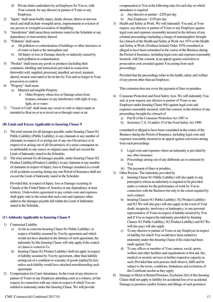- d) Private duties undertaken by an Employee for You or, with Your consent, for any director or partner of Yours or any Employee.
- 2) "Injury" shall mean bodily injury, death, disease, illness or nervous shock and shall include wrongful arrest, imprisonment or eviction of any person or wrongful accusation of shoplifting.
- 3) "Jurisdiction" shall mean those territories stated in the Schedule or any dependency or trust territory thereof.
- 4) "Pollution" shall mean
	- a) All pollution or contamination of buildings or other structures or of water or land or the atmosphere and
	- b) All Injury or loss or Damage directly or indirectly caused by such pollution or contamination.
- 5) "Product" shall mean any goods or products (including their containers, labelling and instructions provided in connection therewith) sold, supplied, processed, installed, serviced, repaired, altered, treated, renovated or let on hire by You and no longer in Your possession or control.
- 6) "Property" shall mean
	- a) Material and tangible Property
		- i) Other Property where loss or Damage arises from trespass, nuisance or any interference with right of way, light, air or water.
- 7) "Vessel or Craft" shall mean any vessel or craft or object made or intended to float on or in or travel on or through water or air.

#### **(B) Limit and Excess Applicable to Insuring Clause 9**

- 1) The total amount for all damages payable, under Insuring Clause 9(1 Public Liability) (Public Liability), to any claimant or any number of claimants in respect of or arising out of any one Occurrence or in respect of or arising out of all Occurrences of a series consequent on or attributable to one source or original cause shall not exceed the Limit of Indemnity stated in the Schedule;
- 2) The total amount for all damages payable, under Insuring Clause 9(2 Product Liability)(Products Liability), to any claimant or any number of claimants in respect of Injury, loss or Damage sustained as a result of all accidents occurring during any one Period of Insurance shall not exceed the Limit of Indemnity stated in the Schedule;

Provided that, in respect of Injury, loss or Damage occurring in Canada or the United States of America or any dependency or trust territory, Underwriters agreement to pay certain costs and expenses shall apply only to the extent that such costs and expenses when added to the damages payable fall within the Limit of Indemnity stated in the Schedule.

#### **(C) Addenda Applicable to Insuring Clause 9**

- 1) Contractual Liability
	- a) As far as concerns Insuring Clause 9(1 Public Liability), in respect of liability assumed by You by agreement and which would not have attached in the absence of such agreement, the indemnity by this Insuring Clause will only apply if the control of claims is vested in Us.
	- b) Insuring Clause 9(2 Product Liability) shall not apply in respect of liability assumed by You by agreement, other than liability arising out of a condition or warranty of goods implied by law, unless such liability would have attached notwithstanding such agreement.
- 2) Compensation for Court Attendance. In the event of any director or partner of Yours or any Employee attending court as a witness, at Our request, in connection with any claim in respect of which You are entitled to indemnity under this Insuring Clause, We will provide

compensation to You at the following rates for each day on which attendance is required

- a) Any director or partner £250 per day
- b) Any Employee £150 per day
- 3) Health and Safety at Work. We will indemnify You and, at Your request, any director or partner of Yours or any Employee against legal costs and expenses reasonably incurred in the defence of any criminal proceedings (including a charge of manslaughter) brought for a breach of the Health and Safety at Work Act 1974 or the Health and Safety at Work (Northern Ireland) Order 1978 committed or alleged to have been committed in the course of the Business during the Period of Insurance, including legal costs and expenses reasonably incurred, with Our consent, in an appeal against conviction or prosecution costs awarded against You arising from such proceedings;

Provided that the proceedings relate to the health, safety and welfare of any person other than an Employee.

This extension does not cover the payment of fines or penalties.

- 4) Consumer Protection and Food Safety Acts. We will indemnify You and, at your request, any director or partner of Yours or any Employee under Insuring Clause 9(b) against legal costs and expenses reasonably incurred, with Our consent, in the defence of any proceedings brought for a breach of
	- a) Part II of the Consumer Protection Act 1987 or
	- b) Section(s) 7, 8, 14 and/or 15 of the Food Safety Act 1990

committed or alleged to have been committed in the course of the Business during the Period of Insurance, including legal costs and expenses reasonably incurred in an appeal against conviction arising from such proceedings.

- i) Legal costs and expenses where an indemnity is provided by any other insurance
- ii) Proceedings arising out of any deliberate act or omission by You
- iii) The payment of fines or penalties.
- 5) Other Persons. The indemnity provided by
	- a) Insuring Clause 9(1 Public Liability) will also apply to any principal to whom an indemnity is required to be provided under a contract for the performance of work by You in connection with the Business but only to the extent required by such contract
	- b) Insuring Clauses 9(1 Public Liability), 9(2 Product Liability) and 9(3 We will also pay) will also apply in the event of Your death, incapacity, insolvency or bankruptcy, to any personal representative of Yours in respect of liability incurred by You and if You so request the indemnity provided by Insuring Clauses 9(1 Public Liability), 9(2 Product Liability) and 9(3 We will also pay) will also apply
	- c) To any director or partner of Yours or any Employee in respect of liability for which You would have been entitled to indemnity under this Insuring Clause if the claim had been made against You
	- d) To any officer or member of Your canteen, social, sports, welfare and other facilities and organisations or first aid, fire, medical or security services in his/her respective capacity as such; Provided that such persons shall observe, fulfil and be subject to the terms, conditions, limitations and exclusions of this Certificate insofar as they apply.
- 6) Damage to Hired or Rented Premises. Exclusion 2(b) of this Insuring Clause shall not apply to liability for accidental loss of or accidental Damage to premises (and/or fixtures and fittings of such premises)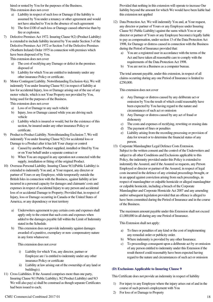hired or rented by You for the purposes of the Business. This extension does not cover

- a) Liability in respect of such loss or Damage if the liability is assumed by You under a tenancy or other agreement and would not have attached to You in the absence of such agreement
- b) The first £100 of such loss or Damage caused otherwise than by fire or explosion.
- 7) Defective Premises Act 1972. Insuring Clause 9(2) (Product Liability) is extended to include liability incurred by You under Section 3 of the Defective Premises Act 1972 or Section 5 of the Defective Premises (Northern Ireland) Order 1975 in connection with premises which have been disposed of by You.

This extension does not cover

- a) The cost of rectifying any Damage or defect in the premises disposed of
- b) Liability for which You are entitled to indemnity under any other insurance Policy or certificate.
- 8) Motor Contingent Liability. Notwithstanding Exclusion 4(a), We will indemnify You under Insuring Clause 9(1) in respect of liability at law for accidental Injury, loss or Damage arising out of the use of any motor vehicle, which is not Your Property nor provided by You, being used for the purposes of the Business. This extension does not cover
	- a) Loss of or Damage to any such vehicle
	- b) Injury, loss or Damage caused while you are driving such vehicle
	- c) Liability which is insured or would, but for the existence of this section, be insured under any other insurance Policy or certificate.
- 9) Product to Product Liability. Notwithstanding Exclusion 7, We will indemnify You under Insuring Clause 9(2) for accidental loss or Damage to a Product after it has left Your charge or control
	- Caused by another Product supplied, installed or fitted by You or on Your behalf under a separate contract or
	- b) When You are engaged in any operation not connected with the supply, installation or fitting of the original Product.
- 10) Overseas Personal Liability. Insuring Clause 9(1)(Public Liability) is extended to indemnify You and, at Your request, any director or partner of Yours or any Employee, while temporarily outside the British Isles in connection with the Business, against liability at law incurred in a personal capacity for damages and claimants' costs and expenses in respect of accidental Injury to any person and accidental loss of or accidental Damage to Property; Provided that, in respect of Injury, loss or Damage occurring in Canada or the United States of America, or any dependency or trust territory
	- a) Underwriters agreement to pay certain costs and expenses shall apply only to the extent that such costs and expenses when added to the damages payable fall within the Limit of Indemnity stated in the Schedule.
	- b) This extension does not provide indemnity against damages awarded of a punitive, exemplary or non- compensatory nature in any form whatsoever.

This extension does not cover

- Liability for which You, any director, partner or Employee are / is entitled to indemnity under any other insurance Policy or certificate
- ii) Liability at law arising out of the ownership of any land or building(s).
- 11) Cross Liabilities. If the Assured comprises more than one party, Insuring Clause 9(1 Public Liability), 9(2 Product Liability) and 9(3 We will also pay) a) shall be construed as though separate Certificates had been issued to each;

Provided that nothing in this extension will operate to increase Our liability beyond the amount for which We would have been liable had this extension not applied

- 12) Data Protection Act. We will indemnify You and, at Your request, any director or partner of Yours or any Employee under Insuring Clause 9(1 Public Liability) against the sums which You or any director or partner of Yours or any Employee become(s) legally liable to pay as compensation, under section 13 of the Data Protection Act 1998, for Damage or distress caused in connection with the Business during the Period of Insurance provided that:
	- a) You are a registered user in accordance with the terms of the Act and have taken all reasonable care to comply with the requirements of the Data Protection Act 1998.
	- b) You are not in a Business as a computer bureau.

The total amount payable, under this extension, in respect of all claims occurring during any one Period of Insurance is limited to £250,000.

This extension does not cover

- a) Any Damage or distress caused by any deliberate act or omission by You the result of which could reasonably have been expected by You having regard to the nature and circumstances of such act or omission
- b) Any Damage or distress caused by any act of fraud or dishonesty
- c) The costs and expenses of rectifying, rewriting or erasing data
- d) The payment of fines or penalties
- e) Liability arising from the recording processing or provision of data for reward or to determine the financial status of any person.
- 13) Corporate Manslaughter Legal Defence Costs Extension. Subject to the written consent and the control of the Underwriters and subject to all other Conditions and Exclusions applicable to this Policy, the indemnity provided under this Policy is extended to indemnify the Assured, and if the Assured so requests, any Person Employed or director or partner of the Assured, in respect of legal costs incurred in the defence of any criminal proceedings brought, or in an appeal against conviction arising from such proceedings, in respect of manslaughter or culpable homicide or alleged manslaughter or culpable homicide, including a breach of the Corporate Manslaughter and Corporate Homicide Act 2007 and any amending and/or subsequent legislation provided that an offence is alleged to have been committed during the Period of Insurance and in the course of the Business.

The maximum amount payable under this Extension shall not exceed £1,000,000 in all during any one Period of Insurance.

This Extension shall not apply:

- a) To fines or penalties of any kind or the cost of implementing any remedial order or publicity order.
- b) Where indemnity is provided by any other Insurance.
- c) To proceedings consequent upon a deliberate act by or omission of any person entitled to indemnity under this Extension if the result thereof could reasonably have been expected having regard to the nature and circumstances of such act or omission

#### **(D) Exclusions Applicable to Insuring Clause 9**

This Certificate does not provide an indemnity in respect of liability

- 1) For injury to any Employee where the injury arises out of and in the course of such person's employment with You
- 2) For loss of or Damage to Property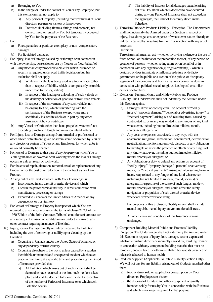- a) Belonging to You
- b) In the charge or under the control of You or any Employee, but this exclusion shall not apply to
	- i) Any personal Property (including motor vehicles) of Your directors, partners or visitors or Employees
	- ii) Premises (including fixtures, fittings and contents) not owned, hired or rented by You but temporarily occupied by You for the purposes of the Business.
- 3) For
	- a) Fines, penalties or punitive, exemplary or non- compensatory damages
	- b) For liquidated damages.
	- 4) For Injury, loss or Damage caused by or through or in connection with the ownership, possession or use by You or on Your behalf of
		- a) Any mechanically propelled vehicle for which insurance or security is required under road traffic legislation but this exclusion shall not apply
			- i) While such vehicle is being used as a tool of trade (other than in respect of liability which is compulsorily insurable under road traffic legislation)
			- ii) In respect of the loading or unloading of such vehicle or the delivery or collection of goods to or from such vehicle
			- iii) In respect of the movement of any such vehicle, not belonging to You, which is interfering with the performance of the Business except where more specifically insured in whole or in part by any other insurance Policy or certificate
		- b) Any Vessel or Craft, other than hand propelled watercraft not exceeding 8 metres in length and in use on inland waters.
- 5) For Injury, loss or Damage arising from remedial or professional or other advice or treatment, given or administered or omitted by You or any director or partner of Yours or any Employee, for which a fee is or would normally be charged.
- 6) For loss of or Damage to that part of any Property on which You or Your agent are/is or have/has been working where the loss or Damage occurs as a direct result of such work.
- 7) For the cost of repair, alteration, removal, recall or replacement of any Product or for the cost of or reduction in the contract value of any Product.
- 8) Arising out of any Product which, with Your knowledge, is
	- a) Incorporated in any aircraft or aerial device and which
		- b) Used in the petrochemical industry in direct connection with manufacture, processing or storage
		- c) Exported to Canada or the United States of America or any dependency or trust territory.
- 9) For loss of or Damage to Property in respect of which You are required to effect insurance under the terms of clause 21.2.1 of the 1980 Edition of the Joint Contracts Tribunal conditions of contract (or any subsequent revision or substitution) or under the terms of any other contract requiring insurance of like kind.
- 10) Injury, loss or Damage directly or indirectly caused by Pollution including the cost of removing or nullifying or cleaning up the Pollution
	- a) Occurring in Canada and/or the United States of America or any dependency or trust territory
	- b) Occurring elsewhere in the world unless caused by a sudden identifiable unintended and unexpected incident which takes place in its entirety at a specific time and place during the Period of Insurance provided that
		- i) All Pollution which arises out of such incident shall be deemed to have occurred at the time such incident takes place and shall be deemed to be one incident irrespective of the number of Periods of Insurance over which such Pollution occurs
- ii) The liability of Insurers for all damages payable arising out of all Pollution which is deemed to have occurred during any one Period of Insurance shall not exceed, in the aggregate, the Limit of Indemnity stated in the Schedule.
- 11) Terrorism Public & Products Liability Exception. The Underwriters shall not indemnify the Assured under this Section in respect of injury, loss, damage, cost or expense of whatsoever nature directly or indirectly caused by, resulting from or in connection with any act of terrorism.

#### Definition

Terrorism shall mean an act - whether involving violence or the use of force or not - or the threat or the preparation thereof, of any person or group(s) of persons - whether acting alone or on behalf of or in connection with any organisation(s) or government(s) - which is designed or does intimidate or influence a de jure or de facto government or the public or a section of the public, or disrupt any segment of the economy and from its nature or context is done in connection with political, social, religious, ideological or similar causes or objectives.

- 12) Exclusion Fungus, Mould and Mildew Public and Products Liability. The Underwriters shall not indemnify the Assured under this Section against
	- a) Damages, direct or consequential, on account of "bodily injury," "property damage," "personal or advertising injury," or "medical payments" arising out of, resulting from, caused by, contributed to, or in any way related to any fungus of any kind whatsoever, including but not limited to mildew, mould, spore(s) or allergens; or
	- b) Any costs or expenses associated, in any way, with the abatement, mitigation, remediation, containment, detoxification, neutralization, monitoring, removal, disposal, or any obligation to investigate or assess the presence or effects of any fungus of any kind whatsoever, including but not limited to mildew, mould, spore(s) or allergens; or
	- c) Any obligation or duty to defend any actions on account of "bodily injury," "property damage," "personal or advertising injury," or "medical payments" arising out of, resulting from, or in any way related to any fungus of any kind whatsoever, including but not limited to mildew, mould, spore(s) or allergens. Irrespective of the cause of such fungus, mildew, mould, spore(s) or allergens, and could affect the safety, navigation or propulsion of such aircraft or aerial device whenever or wherever occurring.

For purposes of this exclusion, "bodily injury" shall include mental anguish, mental injury and/or emotional distress.

All other terms and conditions of this Insurance remain unchanged.

- 13) Component Building Material Public and Products Liability Exception. The Underwriters shall not indemnify the Assured under this Section in respect of injury, loss, damage, cost or expense of whatsoever nature directly or indirectly caused by, resulting from or in connection with any component building material that must be removed, encapsulated, or otherwise abated because its presence or release is a hazard to human health.
- 14) Products Supplied (Applicable To Public Liability Section Only) We will not pay for any liability arising out of Products supplied other than:
	- a) food or drink sold or supplied for consumption by Your directors, Employees or visitors
	- b) the disposal of furniture and office equipment originally intended solely for use by You in connection with the Business and which is no longer required for that purpose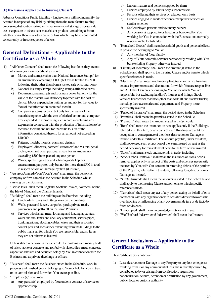#### **(E) Exclusions Applicable to Insuring Clause 9**

Asbestos Conditions Public Liability - Underwriters will not indemnify the Assured in respect of any liability arising from the manufacture mining processing distribution testing remediation removal storage disposal sale use or exposure to asbestos or materials or products containing asbestos whether or not there is another cause of loss which may have contributed concurrently or in consequence of a loss.

### **General Definitions - Applicable to the Certificate as a Whole**

- 1) "All Other Contents" shall mean the following insofar as they are not otherwise, or more specifically insured
	- a) Money and stamps (other than National Insurance Stamps) for an amount not exceeding £1,000 (but this is limited to £500 following theft, other than from a locked safe or strongroom)
	- b) National Insuring Stamps including stamps affixed to cards
	- c) Documents, manuscripts and Business books but only for the value of the materials as stationery together with the cost of clerical labour expended in writing up and not for the value to You of the information contained therein
	- d) Computer systems records, but only for the value of the materials together with the cost of clerical labour and computer time expended in reproducing such records (excluding any expenses in connection with the production of information to be recorded therein) and not for the value to You of the information contained therein, for an amount not exceeding £10,000
	- e) Patterns, models, moulds, plans and designs
	- f) Employees', directors', partners', customers' and visitors' pedal cycles, tools and other personal effects for an amount not exceeding £500 in respect of any one person
	- g) Wines, spirits, cigarettes and tobacco goods kept for entertainment purposes only but not for more than £500 in total in respect of loss or Damage by theft (if insured).
- 2) "Assured/Assureds/You/Your/Yours" shall mean the person(s), company or firm named as the Assured in the Schedule whilst carrying on the Business.
- 3) "British Isles" shall mean England, Scotland, Wales, Northern Ireland, the Isle of Man, and the Channel Islands.
- 4) "Buildings" shall mean the buildings at the Premises including a) Landlord's fixtures and fittings in or on the buildings
	- b) Walls, gates and fences, car parks, yards, private roads, pavements and paths all on the same Premises
	- c) Services which shall mean lowering and loading apparatus, water and fuel tanks and ancillary equipment, service pipes, trunking, piping, ducting, cables, wires and their associated control gear and accessories extending from the buildings to the public mains all for which You are responsible, and so far as they are not otherwise insured.

Unless stated otherwise in the Schedule, the buildings are mainly built of brick, stone or concrete and roofed with slates, tiles, metal concrete, asphalt or asbestos and occupied solely by You in connection with the Business and as private dwellings or offices.

- 5) "Business" shall mean the Business stated in the Schedule. work in progress and finished goods, belonging to You or held by You in trust or on commission and for which You are responsible.
- 6) "Employee(s)" shall mean
	- a) Any person(s) employed by You under a contract of service or apprenticeship
- b) Labour masters and persons supplied by them
- c) Persons employed by labour only subcontractors
- d) Persons offering their services on a labour only basis
- e) Persons engaged in work experience manpower services or similar schemes
- f) Self-employed persons and voluntary helpers
- g) Any person(s) supplied to or hired in or borrowed by You working for You in connection with the Business and normally resident in the British Isles.
- 7) "Household Goods" shall mean household goods and personal effects
	- in private use belonging to You or
	- a) Any member of Your family
	- b) Any of Your domestic servants permanently residing with You, but excluding Property otherwise insured.
- 8) "Limit(s) of Indemnity" shall mean the amount(s) stated in the Schedule and shall apply to the Insuring Clause and/or item to which specific reference is made.
- 9) "Machinery" shall mean machinery, plant, trade and office furniture, tenants' improvements and decorations for which You are responsible and All Other Contents belonging to You or for which You are responsible, but excluding landlord's fixtures and fittings, Stock, vehicles licensed for road use (other than fork lift and stacker trucks) including their accessories and equipment, and Property more specifically insured.
- 10) "Period of Insurance" shall mean the period stated in the Schedule
- 11) "Premises" shall mean the premises stated in the Schedule.
- 12) "Premium" shall mean the amount stated in the Schedule.
- 13) "Rent" shall mean the insurance on rent applies only if the Buildings, referred to in this item, or any parts of such Buildings are unfit for occupation in consequence of their loss destruction or Damage as insured under this Certificate. The amount payable, under this item, shall not exceed such proportion of the Sum Insured on rent as the period necessary for reinstatement bears to the term of rent insured.
- 14) "Stock" shall mean stock and materials in trade, including
- 15) "Stock Debris Removal" shall mean the insurance on stock debris removal applies only in respect of the costs and expenses necessarily incurred by You, with Our consent, in removing debris of the portions of the Property, referred to in this item, following loss, destruction or Damage, as insured.
- 16) "Sum(s) Insured" shall mean the amount(s) stated in the Schedule and shall apply to the Insuring Clause and/or items to which specific reference is made.
- 17) "Terrorism" shall mean any act of any person acting on behalf of or in connection with any organisation with activities directed towards the overthrowing or influencing of any government de jure or de facto by force or violence.
- 18) "Unoccupied" shall mean untenanted, empty or not in use.
- 19) "We/Us/Our/Underwriters/Underwriter" shall mean the Insurers

### **General Exclusions – Applicable to the Certificate as a Whole**

This Certificate does not cover

1) Loss, destruction or Damage to any Property or any loss or expense resulting from it or any consequential loss that is directly caused by, contributed to by or arising from confiscation, requisition, nationalisation, seizure, detention or destruction by any government, public, local or customs authority.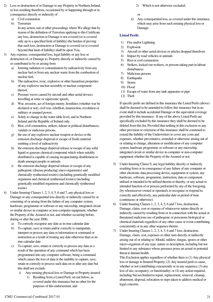- 2) Loss or destruction of or Damage to any Property in Northern Ireland, or loss resulting therefrom, occasioned by or happening through or in consequence directly or indirectly of
	- a) Civil commotion
	- b) Terrorism

In any action, suit or other proceedings where We allege that by reason of the definition of Terrorism applying to this Certificate any loss, destruction or Damage is not covered (or is covered only up to a specified limit of liability) the burden of proving that such loss, destruction or Damage is covered (or is covered beyond that limit of liability) shall be upon You.

- 3) Any expense, consequential loss, legal liability or any loss or destruction of, or Damage to, Property directly or indirectly caused by or contributed to by or arising from
	- a) Ionising radiation or contamination by radioactivity from any nuclear fuel or from any nuclear waste from the combustion of nuclear fuel,
	- b) The radioactive, toxic, explosive or other hazardous properties of any explosive nuclear assembly or nuclear component thereof,
	- c) Pressure waves caused by aircraft and other aerial devices travelling at sonic or supersonic speeds,
	- d) War, invasion, act of foreign enemy, hostilities (whether war be declared or not), civil war, rebellion, insurrection, revolution or military or usurped power,
	- e) Solely to change in the water table level, and in Northern Ireland and the Republic of Ireland only
	- f) Riot, civil commotion, strikers, labour or political disturbances, vandals or malicious persons.
	- g) the use of any explosive nuclear weapon or device or the emission discharge dispersal or escape of fissile material emitting a level of radioactivity
	- h) the emission discharge dispersal release or escape of any solid liquid or gaseous chemical compound which when suitably distributed is capable of causing incapacitating disablement or death amongst people or animals
	- i) the emission discharge dispersal release or escape of any pathogenic (disease producing) mico-organism(s) and chemically synthesised toxin(s) (including genetically modified organisms and chemical synthesised toxin(s) (including genetically modified organisms and chemically synthesised toxins)
- 4) Under Insuring Clauses 1, 2, 3, 4, 5, 6 and 7, any physical loss or Damage or any consequential loss directly or indirectly caused by or consisting of or arising from the failure of any computer system, hardware, programme or software or any microchip, integrated circuit or similar device in computer or non-computer equipment, whether the Property of the Assured or not, and whether occurring before, during or after the year 2000,
	- a) To correctly recognise any date as its true calendar date
	- b) To capture, save or retain and/or correctly to manipulate, interpret or process any data or information or command or instruction as a result of treating any date otherwise than as its true calendar date
	- c) To capture, save, retain or correctly to process any data as a result of the operation of any command which has been programmed into any computer software, being a command which causes the loss of data or the inability to capture, save, retain or correctly to process such data on or after any date but this shall not exclude
		- i) Any ensuing physical loss or Damage to Property insured
			- 1) Resulting from a Listed Peril, set out below, as covered under this insurance but no other for the purposes of this endorsement, and
- 2) Which is not otherwise excluded;
- or
- ii) Any consequential loss, as covered under this insurance, which may arise from such ensuing physical loss or Damage.

#### **Listed Perils**

- 1) Fire and/or Lightning
- 2) Explosion
- 3) Aircraft or other aerial devices or articles dropped therefrom
- 4) Impact by road vehicles or animals
- 5) Riot or civil commotion
- 6) Strikers, locked-out workers, or persons taking part in labour disturbances
- 7) Malicious persons
- 8) Earthquake
- 9) Storm
- 10) Flood
- 11) Escape of water from any tank apparatus or pipe
- 12) Theft

If specific perils are defined in this insurance the Listed Perils (above) shall be deemed to be amended to follow this insurance but in no event shall it include accidental Damage or the equivalent coverage provided by this insurance. If any of the above Listed Perils are specifically excluded by this insurance they shall be deemed to be deleted from this list. Provided that nothing in this exclusion or any other provision or extension of this insurance shall be construed to extend the liability of the Underwriters to cover any costs and expenses, whether preventative, remedial or otherwise arising out of or relating to change, alteration or modification of any computer system, hardware programme or software or any microchip, integrated circuit or similar device in computer or non-computer equipment whether the Property of the Assured or not.

- 5) Under Insuring Clause 9, any legal liability directly or indirectly resulting from or in consequence of any failure of any computer or other electronic data processing device, equipment or system, any hardware, software, programme, instruction, data or component utilised or intended to be utilised therein or thereby, or any actual or intended function of or process performed by any of the foregoing, (by whomsoever owned or operated), to recognise or respond to, correctly and effectively, any particular date or period of time (continuous or otherwise).
- 6) Under Insuring Clauses 1, 2, 3, 4, 5, 6 and 7 loss, destruction, Damage, claim, cost or expense of whatsoever nature directly or indirectly caused by resulting from or in connection with the actual or threatened malicious use of pathogenic or poisonous biological or chemical materials regardless of any other cause or event contributing concurrently or in any other sequence thereto.
- 7) Under Insuring Clauses 1, 2, 3, 4, 5, 6 and 7 loss, destruction, Damage, claim, cost, expenses or other sum directly or indirectly arising out of or relating to: Mould, mildew, fungus, spores or other micro-organism of any type, nature or description, including but not limited to any substance whose presence poses an actual or potential threat to human health.

This Exclusion applies regardless of whether there is (1) Any physical loss or damage to Insured Property; (2) Any insured peril or cause, whether or not contributing concurrently or in any sequence; (3) any loss of use; occupancy; or functionality; or (4) any action required, including but not limited to repair, replacement, removal, cleanup, abatement, disposal, relocation or steps taken to address medical or legal concerns.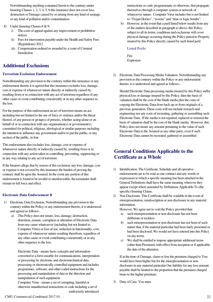Notwithstanding anything contained herein to the contrary under Insuring Clauses 1, 2, 3, 4, 5, 6 this insurance does not cover loss, destruction or Damage caused by or arising from any kind of seepage or any kind of pollution and/or contamination.

- 8) Under Insuring Clauses 8 & 9:
	- i) The costs of appeal against any improvement or prohibition notices
	- ii) Fees for intervention payable under the Health and Safety Fees (Regulations) 2012
	- iii) Compensation ordered or awarded by a court of Criminal Jurisdiction

### **Additional Exclusions**

#### **Terrorism Exclusion Endorsement**

Notwithstanding any provision to the contrary within this insurance or any endorsement thereto it is agreed that this insurance excludes loss, damage, cost or expense of whatsoever nature directly or indirectly caused by, resulting from or in connection with any act of terrorism regardless of any other cause or event contributing concurrently or in any other sequence to the loss.

For the purpose of this endorsement an act of terrorism means an act, including but not limited to the use of force or violence and/or the threat thereof, of any person or group(s) of persons, whether acting alone or on behalf of or in connection with any organisation(s) or government(s), committed for political, religious, ideological or similar purposes including the intention to influence any government and/or to put the public, or any section of the public, in fear.

This endorsement also excludes loss, damage, cost or expense of whatsoever nature directly or indirectly caused by, resulting from or in connection with any action taken in controlling, preventing, suppressing or in any way relating to any act of terrorism.

If the Insurers allege that by reason of this exclusion, any loss, damage, cost or expense is not covered by this insurance the burden of proving the contrary shall be upon the Assured. In the event any portion of this endorsement is found to be invalid or unenforceable, the remainder shall remain in full force and effect.

#### **Electronic Data Endorsement B**

- 1) Electronic Data Exclusion. Notwithstanding any provision to the contrary within the Policy or any endorsement thereto, it is understood and agreed as follows:
	- a) This Policy does not insure, loss, damage, destruction, distortion, erasure, corruption or alteration of Electronic Data from any cause whatsoever (including but not limited to Computer Virus) or loss of use, reduction in functionality, cost, expense of whatsoever nature resulting therefrom, regardless of any other cause or event contributing concurrently or in any other sequence to the loss.

Electronic Data - means facts, concepts and information converted to a form useable for communications, interpretation or processing by electronic and electromechanical data processing or electronically controlled equipment and includes programmes, software, and other coded instructions for the processing and manipulation of data or the direction and manipulation of such equipment.

Computer Virus - means a set of corrupting, harmful or otherwise unauthorised instructions or code including a set of maliciously introduced instructions or code, programmatic or otherwise, that propagate themselves through a computer system or network of whatsoever nature. Computer Virus includes but is not limited to "Trojan Horses", "worms" and "time or logic bombs".

b) However, in the event that a peril listed below results from any of the matters described in paragraph a) above, this Policy, subject to all its terms, conditions and exclusions will cover physical damage occurring during the Policy period to Property insured by this Policy directly caused by such listed peril.

#### Listed Perils

**Fire** Explosion

2) Electronic Data Processing Media Valuation. Notwithstanding any provision to the contrary within the Policy or any endorsement thereto, it is understood and agreed as follows:-

Should Electronic Data processing media insured by this Policy suffer physical loss or damage insured by this Policy, then the basis of valuation shall be the cost of the blank media plus the costs of copying the Electronic Data from back-up or from originals of a previous generation. These costs will not include research and engineering nor any costs of recreating, gathering or assembling such Electronic Data. If the media is not repaired, replaced or restored the basis of valuation shall be the cost of the blank media. However, this Policy does not insure any amount pertaining to the value of such Electronic Data to the Assured or any other party, even if such Electronic Data cannot be recreated, gathered or assembled.

### **General Conditions Applicable to the Certificate as a Whole**

- 1) Identification. The Certificate, Schedule and all operative endorsements are to be read as one contract and any words or expressions to which a specific meaning has been attached in the General Definitions shall have the same meaning wherever they appear except where amended by Definitions Applicable To (the specific) Insuring Clause.
- 2) Non Disclosure. This Certificate shall be voidable in the event of misrepresentation, misdescription or non disclosure in any material information.

However, We agree not to void the Policy provided that:

- a) such misrepresentation or non-disclosure has not been deliberate or reckless
- b) such misrepresentation or non-disclosure has not been of such nature that, if the material particular had been fairly presented or had been disclosed, We would not have entered into this Policy on any terms.
- c) We shall be entitled to impose appropriate additional terms (other than Premium) with effect from inception or if applicable the date of the alteration.

If at the time of Damage, claim or loss the premium charged to You would have been higher but for the misrepresentation or nondisclosure in any material particular Our liability for any loss amount payable shall be limited to the proportion that the premium charged bears to the higher premium.

3) Duty of Care. You must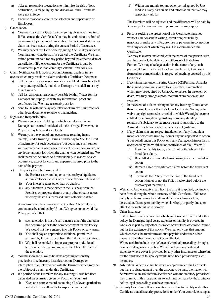- a) Take all reasonable precautions to minimise the risk of loss, destruction, Damage, injury and disease as if this Certificate were not in force
- b) Exercise reasonable care in the selection and supervision of Employees.
- 4) Cancellation
	- a) You may cancel this Certificate by giving Us notice in writing. If You cancel the Certificate You may be entitled to a refund of premium (subject to an administration charge) provided that no claim has been made during the current Period of Insurance.
	- b) We may cancel this Certificate by giving You 30 days' notice at Your last known address. If We cancel the Certificate We shall refund premium paid for any period beyond the effective date of cancellation. (If the Premium for the Certificate is paid by instalments, please read carefully General Condition (12).
- 5) Claim Notification. If loss, destruction, Damage, death or injury occurs which may result in a claim under this Certificate You must
	- a) Tell the police as soon as reasonably possible if it involves theft or any attempted theft, malicious Damage or vandalism or any loss of money
	- b) Tell Us, as soon as reasonably possible (within 7 days for riot Damage) and supply Us with any information, proof and certificates that We may reasonably ask for.
	- c) Send to Us without delay any letter of claim, writ, summons or other legal documents relative to that incident.
- 6) Rights and Responsibilities.
	- a) We may enter any Building in which loss, destruction or Damage has occurred and deal with the salvage. However, no Property may be abandoned to Us.
	- b) We may, in the event of any occurrence resulting in any claim(s), under Insuring Clauses 8 and 9 pay to You the Limit of Indemnity for such occurrence (but deducting such sum or sums already paid as damages in respect of such occurrence) or any lesser amount for which the claim(s) can be settled and We shall thereafter be under no further liability in respect of such occurrence, except for costs and expenses incurred prior to the date of the payment.
	- c) This policy shall be terminated if:
		- i) the Business is wound up or carried on by a liquidator, administrator or receiver or permanently discontinued or
		- ii) Your interest ceases other than by death or
		- iii) any alteration is made either in the Business or in the Premises or property therein or any other circumstances whereby the risk is increased unless otherwise stated

at any time after the commencement of this Policy unless its continuance be admitted by Us and We agree not to avoid the Policy provided that:

- i) such alteration is not of such a nature that if the alteration had occurred prior to the commencement on this Policy We would not have entered into this Policy on any terms.
- ii) You shall pay an appropriate additional premium if required by Us with effect from the date of the alteration.
- iii) We shall be entitled to impose appropriate additional terms, other than premium, with effect from the date of the alteration.
- d) You must do and allow to be done anything reasonably practicable to reduce any loss, destruction, Damage or interruption of or interference with the Business which may be the subject of a claim under this Certificate.
- e) If a portion of the Premium for any Insuring Clause has been calculated on estimates given by You, then You must
	- i) Keep an accurate record containing all relevant particulars and at all times allow Us to inspect Your record

ii) Within one month, (or any other period agreed by Us) send to Us any particulars and information that We may reasonably ask for.

The Premium will be adjusted and the difference will be paid by You subject to any minimum premium that may apply

f) Persons seeking the protection of this Certificate must not, without Our consent in writing, admit or reject liability, negotiate or make any offer, promise or payment in connection with any accident which may result in a claim under this Certificate.

We may take over and conduct in the name of that person, with absolute control, the defence or settlement of that claim. Further, We may take legal action in the name of any such person (at Our expense and for Our own benefit) to recover from others compensation in respect of anything covered by this Certificate.

- g) If a claim arises under Insuring Clause 2(2)(Personal Assault) the injured person must agree to any medical examination which may be required by Us at Our expense. In the event of death, We may arrange a post- mortem examination at Our expense.
- h) In the event of a claim arising under any Insuring Clause other than Insuring Clauses 8 and 9 of this Certificate, We agree to waive any rights remedies or relief to which We might become entitled by subrogation against any company standing in relation of subsidiary to parent or parent to subsidiary to the Assured in each case as defined in current legislation.
- i) If any claim is in any respect fraudulent or if any fraudulent means or devices be used by You or anyone appointed to act on Your behalf under this Policy or if any Damage, claim or loss is occasioned by the wilful act or connivance of You, We will:
	- i) Have no liability to pay any part of or the whole of the fraudulent claim.
	- ii) Be entitled to refuse all claims arising after the fraudulent action
	- iii) Remain liable for legitimate claims before the fraudulent action
	- iv) Terminate the Policy from the date of the fraudulent action whether or not the Policy had expired before the discovery of the fraud.r
- 7) Warranty. Any warranty shall, from the time it is applied, continue to be in force during the whole currency of this Certificate. Failure to comply with any warranty shall invalidate any claim for loss, destruction, Damage or liability which is wholly or partly due to or affected by such failure to comply.
- 8) Other Insurance.

If at the time of any occurrence which gives rise to a claim under this policy the Damage, legal costs, expenses or liability is covered in whole or in part by any other insurance or would be otherwise insured but for the existence of this policy, We shall only pay that amount which exceeds the maximum amount payable under such other insurance had this insurance not been effected. Where a claim includes the defence of criminal proceedings brought or in appeal against conviction We will not pay any costs and expenses where cover is provided by any other insurance or where but for the existence of this policy would have been provided by such insurance.

- 9) Arbitration. Where a claim has been accepted under this Certificate but there is disagreement over the amount to be paid, the matter will be referred to an arbitrator in accordance with the statutory provisions then current. If this happens, an award must be made by the arbitrator before legal proceedings can be commenced.
- 10) Security Protections. It is a condition precedent to liability under this Certificate that all security protections, under Your control, existing at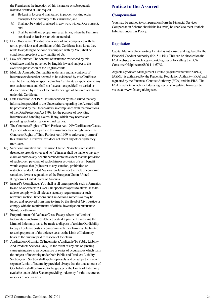the Premises at the inception of this insurance or subsequently installed or fitted at Our request

- a) Be kept in force and maintained in proper working order throughout the currency of this insurance, and
- b) Shall not be varied or altered in any way, without Our consent, and
- c) Shall be in full and proper use, at all times, when the Premises are closed to Business or left unattended.
- 11) Due Observance. The due observance of and compliance with the terms, provisions and conditions of this Certificate in so far as they relate to anything to be done or complied with by You, shall be conditions precedent to any liability of Us.
- 12) Law of Contract. The contract of insurance evidenced by this Certificate shall be governed by English law and subject to the exclusive jurisdiction of the English courts.
- 13) Multiple Assureds. Our liability under any and all contracts of insurance evidenced or deemed to be evidenced by this Certificate shall be the liability so specified in this Certificate as applicable to any one such contract and shall not (save as so specified) be varied or deemed varied by virtue of the number or type of Assureds or claims under this Certificate.
- 14) Data Protection Act 1998. It is understood by the Assured that any information provided to the Underwriters regarding the Assured will be processed by the Underwriters, in compliance with the provisions of the Data Protection Act 1998, for the purpose of providing insurance and handling claims, if any, which may necessitate providing such information to third parties.
- 15) The Contracts (Rights of Third Parties) Act 1999 Clarification Clause. A person who is not a party to this insurance has no right under the Contracts (Rights of Third Parties) Act 1999 to enforce any term of this insurance. However, this does not affect any other rights they may have.
- 16) Sanction Limitation and Exclusion Clause. No (re)insurer shall be deemed to provide cover and no (re)insurer shall be liable to pay any claim or provide any benefit hereunder to the extent that the provision of such cover, payment of such claim or provision of such benefit would expose that (re)insurer to any sanction, prohibition or restriction under United Nations resolutions or the trade or economic sanctions, laws or regulations of the European Union, United Kingdom or United States of America.
- 17) Insured's Compliance. You shall at all times provide such information to and co-operate with Us or Our appointed agents to allow Us to be able to comply with all relevant statutory requirements or such relevant Practice Directions and Pre-Action Protocols as may be issued and approved from time to time by the Head of Civil Justice or comply with the requirements of official investigation pursuant to Statute or otherwise.
- 18) Proportionment Of Defence Costs. Except where the Limit of Indemnity is inclusive of defence costs if a payment exceeding the Limit of Indemnity has to be made to dispose of a claim Our liability to pay all defence costs in connection with the claim shall be limited to such proportion of the defence costs as the Limit of Indemnity bears to the amount paid to dispose of the claim.
- 19) Application Of Limits Of Indemnity (Applicable To Public Liability And Products Sections Only). In the event of any one originating cause giving rise to an occurrence or series of occurrences which form the subject of indemnity under both Public and Products Liability Section, each Section shall apply separately and be subject to its own separate Limits of Indemnity provided always that the total amount of Our liability shall be limited to the greater of the Limits of Indemnity available under either Section providing indemnity for the occurrence or series of occurrences.

### **Notice to the Assured**

#### **Compensation**

You may be entitled to compensation from the Financial Services Compensation Scheme should the insurer(s) be unable to meet it's/their liabilities under this Policy.

#### **Regulation**

Capital Markets Underwriting Limited is authorised and regulated by the Financial Conduct Authority (No. 511151). This can be checked on the FCA website at www.fca.gov.co.uk/register or by calling the FCA Consumer Helpline on 0800 111 6768.

Argenta Syndicate Management Limited (registered number 204974) (ASML) is authorised by the Prudential Regulation Authority (PRA) and regulated by the Financial Conduct Authority (FCA) and the PRA. The FCA's website, which includes a register of all regulated firms can be visited at www.fca.org.uk/register.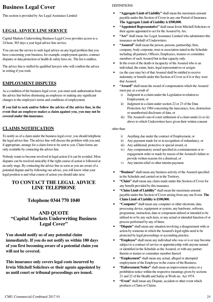### **Business Legal Cover**

This section is provided by Arc Legal Assistance Limited

### **LEGAL ADVICE LINE SERVICE**

Capital Markets Underwriting Business Legal Cover provides access to a 24 hour, 365 days a year legal advice line service.

You can use the service to seek legal advice on any legal problem that you have concerning your business, for example, employment queries, contract disputes or data protection or health & safety laws etc. The list is endless.

The advice line is staffed by qualified lawyers who will confirm the advice in writing if you wish.

### **EMPLOYMENT DISPUTES**

As a condition of the business legal cover, you must seek authorisation from the advice line before dismissing an employee or making any significant changes to the employee's terms and conditions of employment.

**If you fail to seek and/or follow the advice of the advice line, in the event that an employee makes a claim against you, you may not be covered under this insurance.** 

### **CLAIMS NOTIFICATION**

To notify us of a claim under the business legal cover, you should telephone the legal advice line. The advice line will discuss the problem with you and, if appropriate, arrange for a claim form to be sent to you. Claim forms are only available by contacting the advice line.

Nobody wants to become involved in legal action if it can be avoided. Most disputes can be resolved amicably if the right course of action is followed at an early stage. By contacting the advice line as soon as you are aware of a potential dispute and by following our advice, you will know what your legal position is and what course of action you should take next.

### **TO CONTACT THE LEGAL ADVICE LINE TELEPHONE**

### **Telephone 0344 770 1040**

### **AND QUOTE "Capital Markets Underwriting Business**  Legal Cover"

**You should notify us of any potential claim immediately. If you do not notify us within 180 days of you first becoming aware of a potential claim you will not be covered.** 

**This insurance only covers legal costs incurred by Irwin Mitchell Solicitors or their agents appointed by us until court or tribunal proceedings are issued.** 

#### **DEFINITIONS**

- **"Aggregate Limit of Liability"** shall mean the maximum amount payable under this Section of Cover in any one Period of Insurance. **The Aggregate Limit of Liability is £500,000.**
- **"Appointed Representative"** shall mean Irwin Mitchell Solicitors or their agents appointed to act for the Assured by Arc.
- **"Arc"** shall mean Arc Legal Assistance Limited who administers this insurance on behalf of Underwriters.
- **"Assured"** shall mean the person, persons, partnership, firm, company, body corporate, trust or association stated in the Schedule including all partners, Officers, Employees, trustees or committee members of such Assured but in that capacity only.
- In the event of the death or incapacity of the Assured who is an individual, the estate, heirs, legal representatives or assigns
- (as the case may be) of that Assured shall be entitled to receive indemnity or benefit under this Section of Cover as if it or they were that Assured.
- "Award" shall mean the award of compensation which the Assured must pay as a result of
	- i) Judgment in a claim under the Legislation in relation to Employment, or
	- ii) Judgment in a claim under section 22 or 23 of the Data Protection Act 1984 concerning the inaccuracy, loss, destruction or unauthorised disclosure of data, or
	- iii) The Assured's out-of-court settlement of a claim under (i) or (ii) above to which Underwriters have given their written consent

#### other than

- i) Anything due under the contract of Employment, or
- ii) Any payment made for or in recognition of redundancy, or
- iii) Any additional, protective or special award, or
- iv) Any compensatory award specified in a reinstatement or reengagement order or made by reason of the Assured's failure to provide written reasons for a dismissal, or
- v) Any interim relief or other interim payment.
- **"Business"** shall mean any business activity of the Assured specified in the Schedule and carried on in the Territory.
- **"Claim"** shall mean any claim made under this Section of Cover for any benefit provided by this insurance.
- **"Claim Limit of Liability"** shall mean the maximum amount payable under this Section of Cover arising from any one Event. **The Claim Limit of Liability is £100,000.**
- **"Computer"** shall mean any computer or other electronic data processing device, equipment or system, any hardware, software, programme, instruction, data or component utilised or intended to be utilised in or by any such item, or any actual or intended function of or process performed by any of them.
- **"Dispute"** shall mean any situation involving a disagreement with or action by someone in which the Assured's legal rights need to be protected by legal proceedings or accounting practice.
- **"Employee"** shall mean any individual who was or is or may become subject to a contract of service or apprenticeship with anyone named or identified in the Schedule as the Assured, or with any partner therein or trustee or committee member thereof.
- **"Employment"** shall mean any actual, alleged or attempted employment of the Employee in the course of the Business.
- **"Enforcement Notice"** shall mean an improvement notice or a prohibition notice within the respective meanings given by sections 21 and 22 of the Health and Safety at Work etc. Act 1974.
- **"Event"** shall mean any Dispute, accident or other event which produces a Claim or Claims.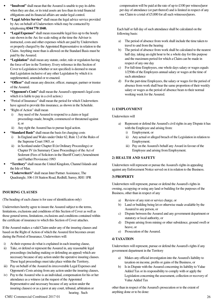- **"Insolvent"** shall mean that the Assured is unable to pay its debts when they are due, or its total assets are less than its total financial obligations and its financial affairs are under legal control.
- **"Legal Advice Service"** shall mean the legal advice service provided by Arc on behalf of Underwriters which may be contacted by telephoning **0344 770 1040.**
- **"Legal Expenses"** shall mean reasonable legal fees up to the hourly rate shown in the Arc fee scale ruling at the time the Adviser is instructed, costs and other expenses which are paid by Underwriters or properly charged by the Appointed Representative in relation to the Claim. Anything more than is allowed on the Standard Basis must be paid by the Assured.
- **"Legislation"** shall mean any statute, order, rule or regulation having the force of law in the Territory. Every reference in this Section of Cover to Legislation (whether or not specified) is deemed to mean that Legislation inclusive of any other Legislation by which it is supplemented, amended or re-enacted.
- **"Officer"** shall mean any director, officer, manager, partner or trustee of the Assured.
- **"Opponent's Costs"** shall mean the Assured's opponent's legal costs which it is liable to pay in a civil action.)
- "Period of Insurance" shall mean the period for which Underwriters have agreed to provide this insurance, as shown in the Schedule.
- "Right of Action" shall mean
	- Any need of the Assured to respond to a claim or legal proceedings made, brought, commenced or threatened against it, or
	- ii) Any right the Assured has to pursue legal action.
- "Standard Basis" shall mean the basis for charging costs
	- i) In England and Wales under Order 62, Rule 12 of the Rules of the Supreme Court 1965, or
	- ii) in Scotland under Chapter II (in Ordinary Proceedings) or Chapter IV (in Summary Cause Proceedings) of the Act of Sederunt (Fees of Solicitors in the Sheriff Court) (Amendment and Further Provisions) 1993
- **"Territory"** shall mean the United Kingdom, Channel Islands and the Isle of Man.
- **"Underwriter/s"** shall mean Inter Partner Assistance, The Quadrangle, 106-118 Station Road, Redhill, Surrey, RH1 1PR

### **INSURING CLAUSES**

(The heading of each clause is for ease of identification only)

Underwriters hereby agree to insure the Assured subject to the terms, limitations, exclusions and conditions of this Section of Cover as well as those general terms, limitations, exclusions and conditions contained within the certificate of insurance to which this Section of Cover attaches.

If the Assured makes a valid Claim under any of the insuring clauses and based on the Right of Action of which the Assured first becomes aware during the Period of Insurance, Underwriters will:

- i) At their expense do what is explained in each insuring clause,
- ii) Take, or defend or represent the Assured in, any reasonable legal proceedings (including making or defending an appeal) which are necessary because of any action under the operative insuring clauses. These legal proceedings must take place within the Territory,
- iii) Pay on behalf of the Assured its irrecoverable Legal Expenses and Opponent's Costs arising from any action under the insuring clauses,
- iv) Pay to the Assured who is an individual, compensation for his or her attendance as a witness (at the request of the Appointed Representative and necessary because of any action under the insuring clauses) or as a juror at any court, tribunal, arbitration or hearing. Such

compensation will be paid at the rate of up to £100 per witness/juror per day of attendance (or part thereof) and is limited in respect of any one Claim to a total of £5,000 for all such witnesses/jurors.

Each half or full day of such attendance shall be calculated on the following basis:

- a) The period of absence from work shall include the time taken to travel to and from the hearing
- b) The period of absence from work shall be calculated to the nearest half day, taking an eight hour to be a whole day for this purpose and the maximum period for which a Claim can be made in respect of any one day
- c) For full-time Employees, one whole days salary or wages equals 1/250th of the Employees annual salary or wages at the time of such attendance
- d) For the part-time Employees, the salary or wages for the period of absence from work shall bear the same proportion of their weekly salary or wages as the period of absence bears to their normal working week for the Assured.

### **1) EMPLOYMENT**

Underwriters will

- a) Represent or defend the Assured's civil rights in any Dispute it has with the Employee and arising from:
	- i) Employment, or
	- ii) Any actual or alleged breach of the Legislation in relation to Employment;
	- iii) Pay on the Assured's behalf any Award in favour of the Employee and arising from Employment.

### **2) HEALTH AND SAFETY**

Underwriters will represent or pursue the Assured's rights in appealing against any Enforcement Notice served on it in relation to the Business.

### **3) PROPERTY**

Underwriters will represent, pursue or defend the Assured's rights in owning, occupying or using any land or building for the purposes of the Business, other than in respect of any

- a) Review of any rent or service charge, or
- b) Land or building being let or otherwise made available by the Assured to any person, or
- c) Dispute between the Assured and any government department or statutory or local authority, or
- d) Dispute arising from mining or other subsidence, ground swell or heave, or
- e) Prosecution of the Assured.

### **4) TAXATION**

Underwriters will represent, pursue or defend the Assured's rights if any government department in the Territory

- a) Makes any official investigation into the Assured's liability to taxation on income, profits or gains of the Business, or
- b) Is in Dispute with the Assured concerning its liability to Value Added Tax or its responsibility to comply with or apply the Legislation concerning the assessment, collection or recovery of Value Added Tax

other than in respect of the Assured's prosecution or to the extent of anything done or to be done: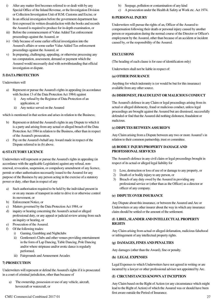- i) After any matter first becomes referred to or dealt with by any Special Office of the Inland Revenue, or the Investigation Division or Collection Investigation Unit of H.M. Customs and Excise, or
- ii) In an official investigation before the government department has first expressed its written dissatisfaction with the books and records the Assured is required to produce for in-depth examination, or
- iii) Before the commencement of Value Added Tax enforcement proceedings against the Assured, or
- iv) Only because of some earlier official investigation into the Assured's affairs or some earlier Value Added Tax enforcement proceedings against the Assured, or
- v) In preparing, challenging, appealing, or otherwise processing any tax computation, assessment, demand or payment which the Assured would necessarily deal with notwithstanding that official investigation or dispute.

#### **5) DATA PROTECTION**

#### Underwriters will

- a) Represent or pursue the Assured's rights in appealing (in accordance with Section 13 of the Data Protection Act 1984) against
	- i) Any refusal by the Registrar of Data Protection of an application, or
	- ii) Any notice served on the Assured

which is mentioned in that section and arises in relation to the Business;

- b) Represent or defend the Assured's rights in any Dispute to which it is a party and arising from any actual or alleged breach of the Data Protection Act 1984 in relation to the Business, other than in respect of the Assured's prosecution,
- c) Pay on the Assured's behalf any Award made in respect of the Dispute referred to in (b) above.

#### **6) STATUTORY LICENCE**

Underwriters will represent or pursue the Assured's rights in appealing (in accordance with the applicable Legislation) against any refusal, nonrenewal, revocation, suspension, or compulsory amendment of any licence, permit or other authorisation necessarily issued to the Assured for any purpose of the Business by any person acting in the exercise of a statutory power or duty, other than in respect of any

- Such authorisation required to be held by the individual present in or on any means of transport in order to drive it or otherwise control its movement, or
- b) Enforcement Notice, or
- c) Matters governed by the Data Protection Act 1984, or
- d) inquiry or hearing concerning the Assured's actual or alleged professional duty, or any appeal or judicial review arising from such an inquiry or hearing, or
- e) Prosecution of the Assured.
- f) Of the following trades:
	- i) Gaming, Gambling and Nightclubs
	- ii) Gentlemen's Clubs and other venues providing entertainment in the form of Lap Dancing, Table Dancing, Pole Dancing and/or where striptease and/or erotic dance is regularly performed.
	- iii) Fairgrounds and Amusement Arcades

#### **7) PROSECUTION**

Underwriters will represent or defend the Assured's rights if it is prosecuted in a court of criminal jurisdiction, other than because of

a) The ownership, possession or use of any vehicle, aircraft, hovercraft or watercraft, or

- b) Seepage, pollution or contamination of any kind
- c) A prosecution under the Health & Safety at Work etc. Act 1974.

#### **8) PERSONAL INJURY**

Underwriters will pursue the rights of an, Officer of the Assured to compensation following their death or personal injury caused by another person or organisation during the normal course of the Director or Officer's employment by the Assured, other than because of an accident or incident caused by, or the responsibility of the Assured.

#### **EXCLUSIONS**

(The heading of each clause is for ease of identification only)

Underwriters shall not be liable in respect of:

#### **(a) OTHER INSURANCE**

Anything for which indemnity is (or would be but for this insurance) available from any other source.

#### **(b) DISHONEST, FRAUDULENT OR MALICIOUS CONDUCT**

The Assured's defence in any Claim or legal proceedings arising from its actual or alleged dishonesty, fraud or malicious conduct, unless legal proceedings are brought against the Assured but are dismissed, successfully defended or find that the Assured did nothing dishonest, fraudulent or malicious.

#### **(c) DISPUTES BETWEEN ASSURED'S**

Any Claim arising from a Dispute between any two or more Assured's in relation to their common partnership, trust or committee.

#### **(d) BODILY INJURY/PROPERTY DAMAGE AND PROFESSIONAL SERVICES**

The Assured's defence in any civil claim or legal proceedings brought in respect of its actual or alleged legal liability for

- 1) Loss, destruction or loss of use of or damage to any property, or
- 2) Death of or bodily injury to any person, or
- 3) Breach of any duty owed by the Assured in providing any professional service or (other than as the Officer) as a director or officer of any company.

#### **(e) DISPUTE OVER INSURANCE**

Any Dispute about this insurance, or between the Assured and Arc or Underwriters or any other insurer about the way in which any insurance claim should be settled or the amount of the settlement.

#### **(f) LIBEL, SLANDER AND INTELLECTUAL PROPERTY RIGHTS**

Any Claim arising from actual or alleged defamation, malicious falsehood or infringement of any intellectual property rights.

#### **(g) DAMAGES, FINES AND PENALTIES**

Any damages (other than the Award), fine or penalty.

#### **(h) LEGAL EXPENSES**

Legal Expenses to which Underwriters have not agreed in writing or are incurred by a lawyer or other professional adviser not appointed by Arc.

#### **(I) CIRCUMSTANCES KNOWN AT INCEPTION**

Any Claim based on the Right of Action (or any circumstance which might lead to the Right of Action) of which the Assured was or should have been first aware outside the Period of Insurance.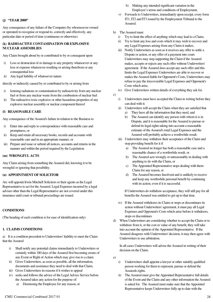#### **(j) "YEAR 2000"**

Any consequence of any failure of the Computer (by whomsoever owned or operated) to recognise or respond to, correctly and effectively, any particular date or period of time (continuous or otherwise).

#### **(k) RADIOACTIVE CONTAMINATION OR EXPLOSIVE NUCLEAR ASSEMBLIES**

Any Claim brought about by or contributed to by or consequent upon

- i) Loss or destruction of or damage to any property whatsoever or any loss or expense whatsoever resulting or arising therefrom or any consequential loss
- ii) Any legal liability of whatsoever nature

directly or indirectly caused by or contributed to by or arising from

- i) Ionising radiations or contamination by radioactivity from any nuclear fuel or from any nuclear waste from the combustion of nuclear fuel
- ii) The radioactive toxic explosive or other hazardous properties of any explosive nuclear assembly or nuclear component thereof

#### **(l) REASONABLE CARE**

Any consequence of the Assured's failure in relation to the Business to

- i) Enter into and reply to correspondence with reasonable care and promptness, or
- ii) Keep and retain all necessary books, records and accounts with reasonable care and in an appropriate manner, or
- iii) Prepare and issue or submit all notices, accounts and returns in the manner and within the period required by the Legislation.

#### **(m) WRONGFUL ACTS**

Any Claim arising from something the Assured did, knowing it to be wrongful or ignoring that possibility.

#### **(n) APPOINTMENT OF SOLICITOR**

Arc will appoint Irwin Mitchell Solicitors or their agents as the Legal Representative to act for the Assured. Legal Expenses incurred by a legal adviser other than the Legal Representative are not covered under this insurance until court or tribunal proceedings are issued.

#### **CONDITIONS**

(The heading of each condition is for ease of identification only)

#### **1. CLAIMS CONDITIONS**

a) It is a condition precedent to Underwriters' liability to meet the Claim that the Assured

- i) Shall notify any potential claims immediately to Underwriters or certainly within 180 days of the Assured first becoming aware of any Event or Right of Action which may give rise to a claim
- ii) Gives Underwriters, as soon as possible, all the information, documents and assistance they need to deal with that Claim,
- iii) Gives Underwriters its reasons if it wishes to appeal
- iv) seeks and follows the advice of the Legal Advice Service before the Assured takes any action for the purpose of:
	- a) Dismissing the Employee for any reason, or
- b) Making any intended significant variation in the Employee's terms and conditions of Employment,
- v) Forwards to Underwriters, immediately upon receipt, every form IT1, IT2 and IT3 issued by the Employment Tribunal to the Assured.
- b) The Assured must
	- i) Try to limit the effect of anything which may lead to a Claim,
	- ii) Try to limit any loss and costs which it may wish to recover and any Legal Expenses arising from any Claim it makes,
	- iii) Notify Underwriters as soon as it receives any offer to settle a Dispute or action, or any offer of a payment into court. Underwriters may stop supporting the Claim if the Assured makes, accepts or rejects any such offer without Underwriters' agreement. If the Assured does accept any such offer and this limits the Legal Expenses Underwriters are able to recover or makes the Assured liable for Opponent's Costs, Underwriters may refuse to pay the irrecoverable Legal Expenses and Opponent's Costs which arise,
	- iv) Give Underwriters written details of everything they ask for.

c)

- i) Underwriters must have accepted the Claim in writing before they can deal with it.
- ii) Underwriters will accept the Claim when they are satisfied that a) They have all the information that they need, and
	- b) The Assured can identify any person with whom it is in Dispute, and it is reasonable for the Assured to pursue or defend its legal rights taking into account a reasonable estimate of the Assured's total Legal Expenses and the Assured will probably achieve a worthwhile result.
- iii) Underwriters may withdraw their acceptance of the Claim and stop providing benefit for it if
	- a) The Assured no longer has both a reasonable case and a reasonable chance of a worthwhile result, or
	- b) The Assured acts wrongly or unreasonably in dealing with anything to do with the Claim, or
	- c) The Appointed Representative stops dealing with them Claim for any reason, or
	- d) The Assured becomes Insolvent and is unlikely to receive and keep any worthwhile personal benefit by continuing with its action, even if it is successful.

If Underwriters do withdraw acceptance, they will still pay for all benefits the Assured was entitled to get up to that time.

- iv) If the Assured withdraws its Claim or stops or discontinues its action without Underwriters' agreement, it must pay all Legal Expenses and Opponent's Costs which arise before it withdraws, stops or discontinues
- d) When Underwriters are considering whether to accept the Claim or to withdraw from it, or the cost or value of any benefit, they will take into account the opinion of the Appointed Representative. If the Assured disagrees with Underwriters' decision, it may then agree with Underwriters to use arbitration.

In all cases Underwriters will advise the Assured in writing of their decision on the Claim.

e)

- i) Underwriters shall appoint a lawyer or other suitably qualified person working for them to represent, pursue or defend the Assureds rights.
- ii) The Assured must give the Appointed Representative full details of the Event and the Claim and any other information the Assured is asked for. The Assured must make sure that the Appointed Representative keeps Underwriters fully up to date with the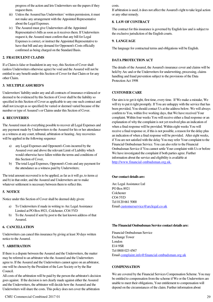progress of the action and lets Underwriters see the papers if they request them.

- iii) Unless the Assured has Underwriters' written permission, it must not make any arrangement with the Appointed Representative about the Legal Expenses.
- iv) The Assured must give Underwriters all the Appointed Representative's bills as soon as it receives them. If Underwriters request it, the Assured must confirm that any bill for Legal Expenses is correct, or instruct the Appointed Representative to have that bill and any demand for Opponent's Costs officially confirmed as being charged on the Standard Basis.

#### **2. FRAUDULENT CLAIMS**

If a Claim is false or fraudulent in any way, this Section of Cover shall (unless Underwriters otherwise agree) be void and the Assured will not be entitled to any benefit under this Section of Cover for that Claim or for any other Claim.

#### **3. MULTIPLE ASSURED'S**

Underwriters' liability under any and all contracts of insurance evidenced or deemed to be evidenced by this Section of Cover shall be the liability so specified in this Section of Cover as applicable to any one such contract and shall not (except as so specified) be varied or deemed varied because of the number or type of Assured's or Claims under this Section of Cover.

#### **4. RECOVERIES**

The Assured must do everything possible to recover all Legal Expenses and any payment made by Underwriters to the Assured for his or her attendance as a witness at any court, tribunal, arbitration or hearing. Any recoveries will be applied in the following sequence

- a) any Legal Expenses and Opponent's Costs incurred by the Assured over and above the relevant Limit of Liability which would otherwise have fallen within the terms and conditions of this Section of Cover,
- b) The total Legal Expenses, Opponent's Costs and any payment for the attendance as a witness paid by Underwriters;

The total amount recovered is to be applied, as far as it will go, to items a) and b) in that order, and the Assured and Underwriters are to make whatever settlement is necessary between them to reflect this.

#### **5. NOTICE**

Notice under this Section of Cover shall be deemed duly given:

- a) To Underwriters if made in writing to Arc Legal Assistance Limited at PO Box 8921, Colchester, CO4 5YD
- b) To the Assured if sent by post to the last known address of that Assured.

#### **6. CANCELLATION**

Underwriters can cancel this insurance by giving at least 30 days written notice to the Assured.

#### **7. ARBITRATION**

If there is a dispute between the Assured and the Underwriters, the matter may be referred to an arbitrator who the Assured and the Underwriters agree to. If the Assured and the Underwriters cannot agree on an arbitrator, one will be chosen by the President of the Law Society or by the Bar Council.

All costs of the arbitration will be paid by the person the arbitrator's decision goes against. If the decision is not clearly made against either the Assured and the Underwriters, the arbitrator will decide how the Assured and the Underwriters will share the costs. This policy does not cover the arbitration

#### costs.

If arbitration is used, it does not affect the Assured's right to take legal action or any other remedy.

#### **8. LAW OF CONTRACT**

The contract for this insurance is governed by English law and is subject to the exclusive jurisdiction of the English courts.

#### **9. LANGUAGE**

The language for contractual terms and obligations will be English.

#### **DATA PROTECTION ACT**

The details of the Assured, the Assured's insurance cover and claims will be held by Arc and or the Underwriters for underwriting, processing, claims handling and fraud prevention subject to the provisions of the Data Protection Act 1998

#### **CUSTOMER CARE**

Our aim is to get it right, first time, every time. If We make a mistake, We will try to put it right promptly. If You are unhappy with the service that has been provided, You should contact Us at the address below. We will always confirm to You, within five working days, that We have received Your complaint. Within four weeks You will receive either a final response or an explanation of why the complaint is not yet resolved plus an indication of when a final response will be provided. Within eight weeks You will receive a final response or, if this is not possible, a reason for the delay plus an indication of when a final response will be provided. After eight weeks, if You are not satisfied with the delay You may refer Your complaint to the Financial Ombudsman Service. You can also refer to the Financial Ombudsman Service if You cannot settle Your complaint with Us or before We have investigated the complaint if both parties agree. Further information about the service and eligibility is available at http://www.financial-ombudsman.org.uk.

#### **Our contact details are:**

Arc Legal Assistance Ltd PO Box 8921 Colchester CO4 5YD Tel 0120 661 5000 Email customerservice@arclegal.co.uk

#### **The Financial Ombudsman Service contact details are:**

Financial Ombudsman Service Exchange Tower London E14 9SR Tel 0800 023 4567 Email complaint.info@financial-ombudsman.org.uk

#### **COMPENSATION**

We are covered by the Financial Services Compensation Scheme. You may be entitled to compensation from the scheme if We or the Underwriters are unable to meet their obligations, Your entitlement to compensation will depend on the circumstances of the claim. Further information about